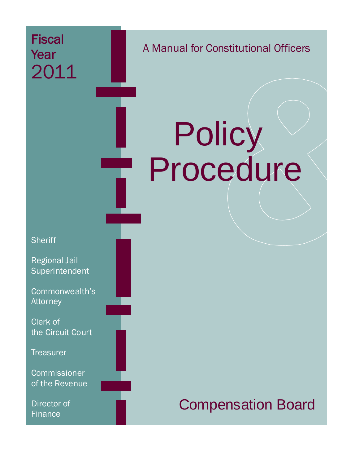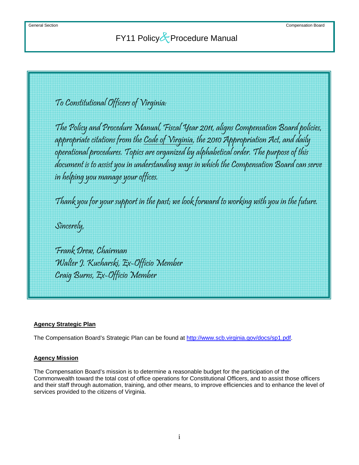To Constitutional Officers of Virginia:

The Policy and Procedure Manual, Fiscal Year 2011, aligns Compensation Board policies, appropriate citations from the Code of Virginia, the 2010 Appropriation Act, and daily operational procedures. Topics are organized by alphabetical order. The purpose of this document is to assist you in understanding ways in which the Compensation Board can serve in helping you manage your offices.

Thank you for your support in the past; we look forward to working with you in the future.

Sincerely,

Frank Drew, Chairman Walter J. Kucharski, Ex-Officio Member Craig Burns, Ex-Officio Member

### **Agency Strategic Plan**

The Compensation Board's Strategic Plan can be found at<http://www.scb.virginia.gov/docs/sp1.pdf>.

#### **Agency Mission**

The Compensation Board's mission is to determine a reasonable budget for the participation of the Commonwealth toward the total cost of office operations for Constitutional Officers, and to assist those officers and their staff through automation, training, and other means, to improve efficiencies and to enhance the level of services provided to the citizens of Virginia.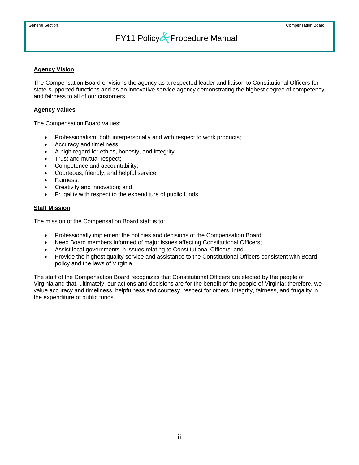### **Agency Vision**

The Compensation Board envisions the agency as a respected leader and liaison to Constitutional Officers for state-supported functions and as an innovative service agency demonstrating the highest degree of competency and fairness to all of our customers.

### **Agency Values**

The Compensation Board values:

- Professionalism, both interpersonally and with respect to work products;
- Accuracy and timeliness;
- A high regard for ethics, honesty, and integrity;
- Trust and mutual respect;
- Competence and accountability;
- Courteous, friendly, and helpful service;
- Fairness;
- Creativity and innovation; and
- Frugality with respect to the expenditure of public funds.

### **Staff Mission**

The mission of the Compensation Board staff is to:

- Professionally implement the policies and decisions of the Compensation Board;
- Keep Board members informed of major issues affecting Constitutional Officers;
- Assist local governments in issues relating to Constitutional Officers; and
- Provide the highest quality service and assistance to the Constitutional Officers consistent with Board policy and the laws of Virginia.

The staff of the Compensation Board recognizes that Constitutional Officers are elected by the people of Virginia and that, ultimately, our actions and decisions are for the benefit of the people of Virginia; therefore, we value accuracy and timeliness, helpfulness and courtesy, respect for others, integrity, fairness, and frugality in the expenditure of public funds.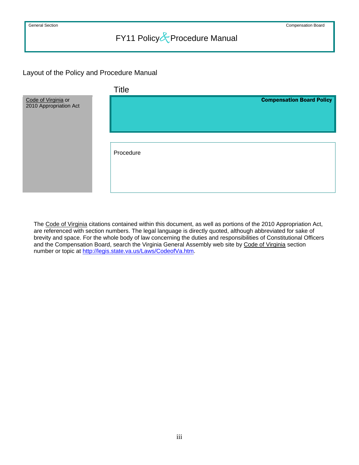### Layout of the Policy and Procedure Manual



The Code of Virginia citations contained within this document, as well as portions of the 2010 Appropriation Act, are referenced with section numbers. The legal language is directly quoted, although abbreviated for sake of brevity and space. For the whole body of law concerning the duties and responsibilities of Constitutional Officers and the Compensation Board, search the Virginia General Assembly web site by Code of Virginia section number or topic at [http://legis.state.va.us/Laws/CodeofVa.htm.](http://legis.state.va.us/Laws/CodeofVa.htm)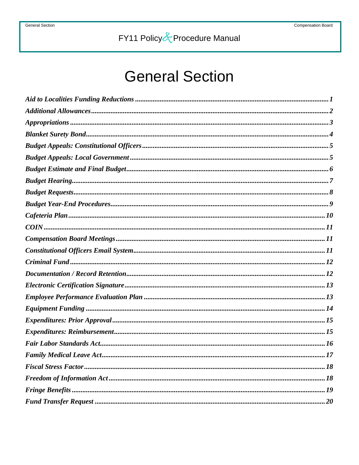# **General Section**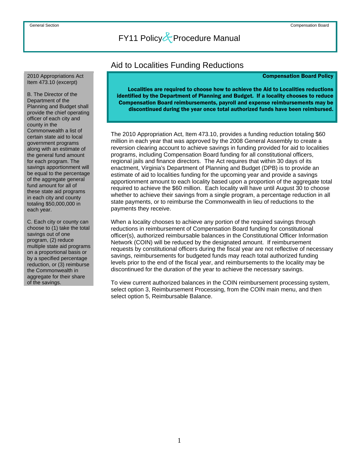#### <span id="page-7-0"></span>2010 Appropriations Act Item 473.10 (excerpt)

B. The Director of the Department of the Planning and Budget shall provide the chief operating officer of each city and county in the Commonwealth a list of certain state aid to local government programs along with an estimate of the general fund amount for each program. The savings apportionment will be equal to the percentage of the aggregate general fund amount for all of these state aid programs in each city and county totaling \$50,000,000 in each year.

C. Each city or county can choose to (1) take the total savings out of one program, (2) reduce multiple state aid programs on a proportional basis or by a specified percentage reduction, or (3) reimburse the Commonwealth in aggregate for their share of the savings.

### Aid to Localities Funding Reductions

#### Compensation Board Policy

Localities are required to choose how to achieve the Aid to Localities reductions identified by the Department of Planning and Budget. If a locality chooses to reduce Compensation Board reimbursements, payroll and expense reimbursements may be discontinued during the year once total authorized funds have been reimbursed.

 The 2010 Appropriation Act, Item 473.10, provides a funding reduction totaling \$60 million in each year that was approved by the 2008 General Assembly to create a reversion clearing account to achieve savings in funding provided for aid to localities programs, including Compensation Board funding for all constitutional officers, regional jails and finance directors. The Act requires that within 30 days of its enactment, Virginia's Department of Planning and Budget (DPB) is to provide an estimate of aid to localities funding for the upcoming year and provide a savings apportionment amount to each locality based upon a proportion of the aggregate total required to achieve the \$60 million. Each locality will have until August 30 to choose whether to achieve their savings from a single program, a percentage reduction in all state payments, or to reimburse the Commonwealth in lieu of reductions to the payments they receive.

When a locality chooses to achieve any portion of the required savings through reductions in reimbursement of Compensation Board funding for constitutional officer(s), authorized reimbursable balances in the Constitutional Officer Information Network (COIN) will be reduced by the designated amount. If reimbursement requests by constitutional officers during the fiscal year are not reflective of necessary savings, reimbursements for budgeted funds may reach total authorized funding levels prior to the end of the fiscal year, and reimbursements to the locality may be discontinued for the duration of the year to achieve the necessary savings.

To view current authorized balances in the COIN reimbursement processing system, select option 3, Reimbursement Processing, from the COIN main menu, and then select option 5, Reimbursable Balance.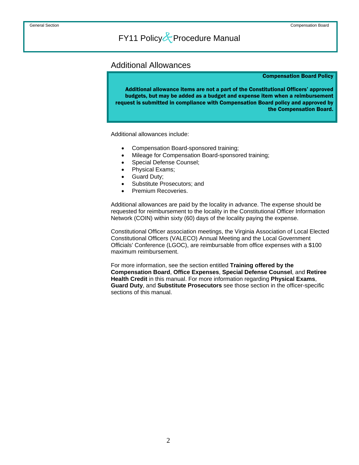### <span id="page-8-0"></span>Additional Allowances

#### Compensation Board Policy

Additional allowance items are not a part of the Constitutional Officers' approved budgets, but may be added as a budget and expense item when a reimbursement request is submitted in compliance with Compensation Board policy and approved by the Compensation Board.

Additional allowances include:

- Compensation Board-sponsored training;
- Mileage for Compensation Board-sponsored training;
- Special Defense Counsel;
- Physical Exams;
- Guard Duty;
- Substitute Prosecutors; and
- Premium Recoveries.

Additional allowances are paid by the locality in advance. The expense should be requested for reimbursement to the locality in the Constitutional Officer Information Network (COIN) within sixty (60) days of the locality paying the expense.

Constitutional Officer association meetings, the Virginia Association of Local Elected Constitutional Officers (VALECO) Annual Meeting and the Local Government Officials' Conference (LGOC), are reimbursable from office expenses with a \$100 maximum reimbursement.

For more information, see the section entitled **Training offered by the Compensation Board**, **Office Expenses**, **Special Defense Counsel**, and **Retiree Health Credit** in this manual. For more information regarding **Physical Exams**, **Guard Duty**, and **Substitute Prosecutors** see those section in the officer-specific sections of this manual.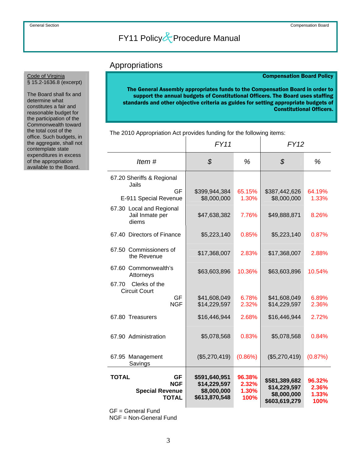### Appropriations

#### Compensation Board Policy

The General Assembly appropriates funds to the Compensation Board in order to support the annual budgets of Constitutional Officers. The Board uses staffing standards and other objective criteria as guides for setting appropriate budgets of Constitutional Officers.

|                                                                            | FY11                                                          |                                  | <b>FY12</b>                                                   |                                  |
|----------------------------------------------------------------------------|---------------------------------------------------------------|----------------------------------|---------------------------------------------------------------|----------------------------------|
| Item#                                                                      | $\mathcal{S}$                                                 | %                                | $\mathcal{S}$                                                 | %                                |
| 67.20 Sheriffs & Regional<br>Jails                                         |                                                               |                                  |                                                               |                                  |
| GF<br>E-911 Special Revenue                                                | \$399,944,384<br>\$8,000,000                                  | 65.15%<br>1.30%                  | \$387,442,626<br>\$8,000,000                                  | 64.19%<br>1.33%                  |
| 67.30 Local and Regional<br>Jail Inmate per<br>diems                       | \$47,638,382                                                  | 7.76%                            | \$49,888,871                                                  | 8.26%                            |
| 67.40 Directors of Finance                                                 | \$5,223,140                                                   | 0.85%                            | \$5,223,140                                                   | 0.87%                            |
| 67.50 Commissioners of<br>the Revenue                                      | \$17,368,007                                                  | 2.83%                            | \$17,368,007                                                  | 2.88%                            |
| 67.60 Commonwealth's<br>Attorneys                                          | \$63,603,896                                                  | 10.36%                           | \$63,603,896                                                  | 10.54%                           |
| 67.70<br>Clerks of the<br><b>Circuit Court</b>                             |                                                               |                                  |                                                               |                                  |
| GF<br><b>NGF</b>                                                           | \$41,608,049<br>\$14,229,597                                  | 6.78%<br>2.32%                   | \$41,608,049<br>\$14,229,597                                  | 6.89%<br>2.36%                   |
| 67.80 Treasurers                                                           | \$16,446,944                                                  | 2.68%                            | \$16,446,944                                                  | 2.72%                            |
| 67.90 Administration                                                       | \$5,078,568                                                   | 0.83%                            | \$5,078,568                                                   | 0.84%                            |
| 67.95 Management<br>Savings                                                | (\$5,270,419)                                                 | (0.86%)                          | (\$5,270,419)                                                 | (0.87%)                          |
| <b>TOTAL</b><br><b>GF</b><br><b>NGF</b><br><b>Special Revenue</b><br>TOTAL | \$591,640,951<br>\$14,229,597<br>\$8,000,000<br>\$613,870,548 | 96.38%<br>2.32%<br>1.30%<br>100% | \$581,389,682<br>\$14,229,597<br>\$8,000,000<br>\$603,619,279 | 96.32%<br>2.36%<br>1.33%<br>100% |

The 2010 Appropriation Act provides funding for the following items:

GF = General Fund

NGF = Non-General Fund

<span id="page-9-0"></span>The Board shall fix and determine what constitutes a fair and reasonable budget for the participation of the Commonwealth toward the total cost of the office. Such budgets, in the aggregate, shall not contemplate state expenditures in excess of the appropriation available to the Board.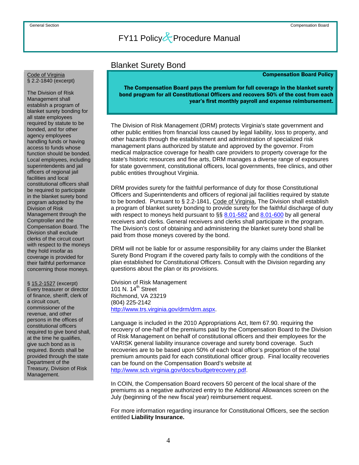### Blanket Surety Bond

#### Compensation Board Policy

The Compensation Board pays the premium for full coverage in the blanket surety bond program for all Constitutional Officers and recovers 50% of the cost from each year's first monthly payroll and expense reimbursement.

The Division of Risk Management (DRM) protects Virginia's state government and other public entities from financial loss caused by legal liability, loss to property, and other hazards through the establishment and administration of specialized risk management plans authorized by statute and approved by the governor. From medical malpractice coverage for health care providers to property coverage for the state's historic resources and fine arts, DRM manages a diverse range of exposures for state government, constitutional officers, local governments, free clinics, and other public entities throughout Virginia.

DRM provides surety for the faithful performance of duty for those Constitutional Officers and Superintendents and officers of regional jail facilities required by statute to be bonded. Pursuant to § 2.2-1841, Code of Virginia, The Division shall establish a program of blanket surety bonding to provide surety for the faithful discharge of duty with respect to moneys held pursuant to §§ [8.01-582](http://leg1.state.va.us/cgi-bin/legp504.exe?000+cod+8.01-582) and [8.01-600](http://leg1.state.va.us/cgi-bin/legp504.exe?000+cod+8.01-600) by all general receivers and clerks. General receivers and clerks shall participate in the program. The Division's cost of obtaining and administering the blanket surety bond shall be paid from those moneys covered by the bond.

DRM will not be liable for or assume responsibility for any claims under the Blanket Surety Bond Program if the covered party fails to comply with the conditions of the plan established for Constitutional Officers. Consult with the Division regarding any questions about the plan or its provisions.

Division of Risk Management 101 N. 14<sup>th</sup> Street Richmond, VA 23219 (804) 225-2142 <http://www.trs.virginia.gov/drm/drm.aspx>.

Language is included in the 2010 Appropriations Act, Item 67.90. requiring the recovery of one-half of the premiums paid by the Compensation Board to the Division of Risk Management on behalf of constitutional officers and their employees for the VARISK general liability insurance coverage and surety bond coverage. Such recoveries are to be based upon 50% of each local office's proportion of the total premium amounts paid for each constitutional officer group. Final locality recoveries can be found on the Compensation Board's website at [http://www.scb.virginia.gov/docs/budgetrecovery.pdf.](http://www.scb.virginia.gov/docs/budgetrecovery.pdf)

In COIN, the Compensation Board recovers 50 percent of the local share of the premiums as a negative authorized entry to the Additional Allowances screen on the July (beginning of the new fiscal year) reimbursement request.

For more information regarding insurance for Constitutional Officers, see the section entitled **Liability Insurance.**

<span id="page-10-0"></span>Code of Virginia § 2.2-1840 (excerpt)

The Division of Risk Management shall establish a program of blanket surety bonding for all state employees required by statute to be bonded, and for other agency employees handling funds or having access to funds whose function should be bonded. Local employees, including superintendents and jail officers of regional jail facilities and local constitutional officers shall be required to participate in the blanket surety bond program adopted by the Division of Risk Management through the Comptroller and the Compensation Board. The Division shall exclude clerks of the circuit court with respect to the moneys they hold insofar as coverage is provided for their faithful performance concerning those moneys.

§ 15.2-1527 (excerpt) Every treasurer or director of finance, sheriff, clerk of a circuit court, commissioner of the revenue, and other persons in the offices of constitutional officers required to give bond shall, at the time he qualifies, give such bond as is required. Bonds shall be provided through the state Department of the Treasury, Division of Risk Management.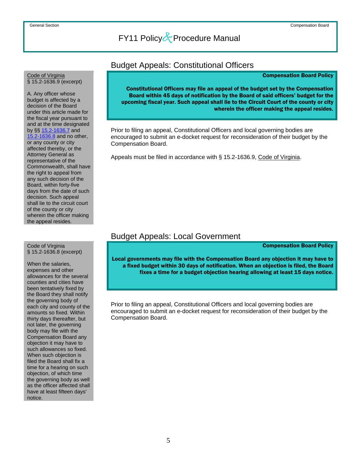### Budget Appeals: Constitutional Officers

#### Compensation Board Policy

Constitutional Officers may file an appeal of the budget set by the Compensation Board within 45 days of notification by the Board of said officers' budget for the upcoming fiscal year. Such appeal shall lie to the Circuit Court of the county or city wherein the officer making the appeal resides.

 Prior to filing an appeal, Constitutional Officers and local governing bodies are encouraged to submit an e-docket request for reconsideration of their budget by the Compensation Board.

Appeals must be filed in accordance with § 15.2-1636.9, Code of Virginia.

### Budget Appeals: Local Government

Compensation Board Policy

Local governments may file with the Compensation Board any objection it may have to a fixed budget within 30 days of notification. When an objection is filed, the Board fixes a time for a budget objection hearing allowing at least 15 days notice.

Prior to filing an appeal, Constitutional Officers and local governing bodies are encouraged to submit an e-docket request for reconsideration of their budget by the Compensation Board.

#### <span id="page-11-0"></span>Code of Virginia § 15.2-1636.9 (excerpt)

A. Any officer whose budget is affected by a decision of the Board under this article made for the fiscal year pursuant to and at the time designated by §§ [15.2-1636.7](http://leg1.state.va.us/cgi-bin/legp504.exe?000+cod+15.2-1636.7) and [15.2-1636.8](http://leg1.state.va.us/cgi-bin/legp504.exe?000+cod+15.2-1636.8) and no other, or any county or city affected thereby, or the Attorney General as representative of the Commonwealth, shall have the right to appeal from any such decision of the Board, within forty-five days from the date of such decision. Such appeal shall lie to the circuit court of the county or city wherein the officer making the appeal resides.

#### Code of Virginia § 15.2-1636.8 (excerpt)

When the salaries, expenses and other allowances for the several counties and cities have been tentatively fixed by the Board they shall notify the governing body of each city and county of the amounts so fixed. Within thirty days thereafter, but not later, the governing body may file with the Compensation Board any objection it may have to such allowances so fixed. When such objection is filed the Board shall fix a time for a hearing on such objection, of which time the governing body as well as the officer affected shall have at least fifteen days' notice.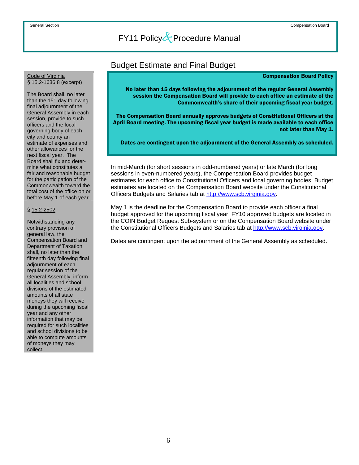### Budget Estimate and Final Budget

#### Compensation Board Policy

No later than 15 days following the adjournment of the regular General Assembly session the Compensation Board will provide to each office an estimate of the Commonwealth's share of their upcoming fiscal year budget.

 The Compensation Board annually approves budgets of Constitutional Officers at the April Board meeting. The upcoming fiscal year budget is made available to each office not later than May 1.

Dates are contingent upon the adjournment of the General Assembly as scheduled.

In mid-March (for short sessions in odd-numbered years) or late March (for long sessions in even-numbered years), the Compensation Board provides budget estimates for each office to Constitutional Officers and local governing bodies. Budget estimates are located on the Compensation Board website under the Constitutional Officers Budgets and Salaries tab at [http://www.scb.virginia.gov.](http://www.scb.virginia.gov/)

May 1 is the deadline for the Compensation Board to provide each officer a final budget approved for the upcoming fiscal year. FY10 approved budgets are located in the COIN Budget Request Sub-system or on the Compensation Board website under the Constitutional Officers Budgets and Salaries tab at [http://www.scb.virginia.gov](http://www.scb.virginia.gov/).

Dates are contingent upon the adjournment of the General Assembly as scheduled.

## <span id="page-12-0"></span>Code of Virginia<br>§ 15.2-1636.8 (excerpt)

The Board shall, no later than the  $15<sup>th</sup>$  day following final adjournment of the General Assembly in each session, provide to such officers and the local governing body of each city and county an estimate of expenses and other allowances for the next fiscal year. The Board shall fix and determine what constitutes a fair and reasonable budget for the participation of the Commonwealth toward the total cost of the office on or before May 1 of each year.

#### § 15.2-2502

Notwithstanding any contrary provision of general law, the Compensation Board and Department of Taxation shall, no later than the fifteenth day following final adjournment of each regular session of the General Assembly, inform all localities and school divisions of the estimated amounts of all state moneys they will receive during the upcoming fiscal year and any other information that may be required for such localities and school divisions to be able to compute amounts of moneys they may collect.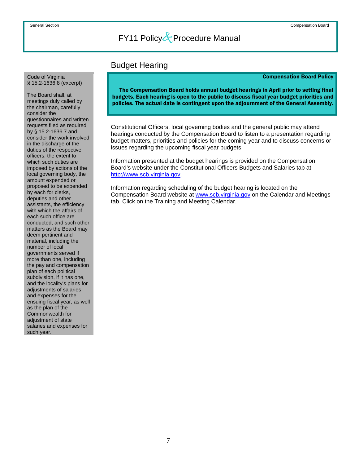### Budget Hearing

#### Compensation Board Policy

The Compensation Board holds annual budget hearings in April prior to setting final budgets. Each hearing is open to the public to discuss fiscal year budget priorities and policies. The actual date is contingent upon the adjournment of the General Assembly.

Constitutional Officers, local governing bodies and the general public may attend hearings conducted by the Compensation Board to listen to a presentation regarding budget matters, priorities and policies for the coming year and to discuss concerns or issues regarding the upcoming fiscal year budgets.

Information presented at the budget hearings is provided on the Compensation Board's website under the Constitutional Officers Budgets and Salaries tab at [http://www.scb.virginia.gov.](http://www.scb.virginia.gov/)

Information regarding scheduling of the budget hearing is located on the Compensation Board website at [www.scb.virginia.gov](http://www.scb.virginia.gov/) on the Calendar and Meetings tab. Click on the Training and Meeting Calendar.

<span id="page-13-0"></span>Code of Virginia<br>§ 15.2-1636.8 (excerpt)

The Board shall, at meetings duly called by the chairman, carefully consider the questionnaires and written requests filed as required by § [15.2-1636.7](http://leg1.state.va.us/cgi-bin/legp504.exe?000+cod+15.2-1636.7) and consider the work involved in the discharge of the duties of the respective officers, the extent to which such duties are imposed by actions of the local governing body, the amount expended or proposed to be expended by each for clerks, deputies and other assistants, the efficiency with which the affairs of each such office are conducted, and such other matters as the Board may deem pertinent and material, including the number of local governments served if more than one, including the pay and compensation plan of each political subdivision, if it has one, and the locality's plans for adjustments of salaries and expenses for the ensuing fiscal year, as well as the plan of the Commonwealth for adjustment of state salaries and expenses for such year.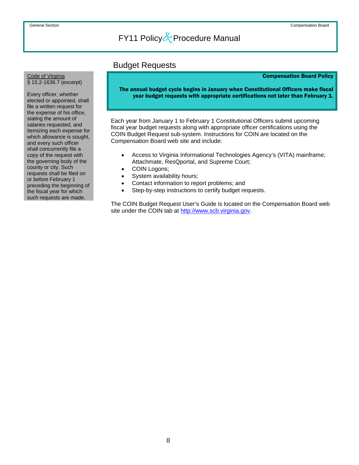### Budget Requests

#### Compensation Board Policy

The annual budget cycle begins in January when Constitutional Officers make fiscal year budget requests with appropriate certifications not later than February 1.

Each year from January 1 to February 1 Constitutional Officers submit upcoming fiscal year budget requests along with appropriate officer certifications using the COIN Budget Request sub-system. Instructions for COIN are located on the Compensation Board web site and include:

- Access to Virginia Informational Technologies Agency's (VITA) mainframe; Attachmate, ResQportal, and Supreme Court;
- COIN Logons;
- System availability hours;
- Contact information to report problems; and
- Step-by-step instructions to certify budget requests.

 The COIN Budget Request User's Guide is located on the Compensation Board web site under the COIN tab at [http://www.scb.virginia.gov.](http://www.scb.virginia.gov/)

<span id="page-14-0"></span>Code of Virginia<br>§ 15.2-1636.7 (excerpt)

Every officer, whether elected or appointed, shall file a written request for the expense of his office, stating the amount of salaries requested, and itemizing each expense for which allowance is sought, and every such officer shall concurrently file a copy of the request with the governing body of the county or city. Such requests shall be filed on or before February 1 preceding the beginning of the fiscal year for which such requests are made.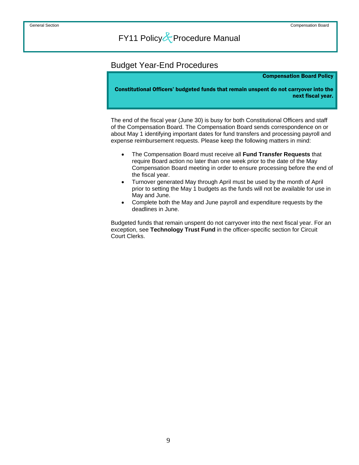### <span id="page-15-0"></span>Budget Year-End Procedures

#### Compensation Board Policy

Constitutional Officers' budgeted funds that remain unspent do not carryover into the next fiscal year.

 The end of the fiscal year (June 30) is busy for both Constitutional Officers and staff of the Compensation Board. The Compensation Board sends correspondence on or about May 1 identifying important dates for fund transfers and processing payroll and expense reimbursement requests. Please keep the following matters in mind:

- The Compensation Board must receive all **Fund Transfer Requests** that require Board action no later than one week prior to the date of the May Compensation Board meeting in order to ensure processing before the end of the fiscal year.
- Turnover generated May through April must be used by the month of April prior to setting the May 1 budgets as the funds will not be available for use in May and June.
- Complete both the May and June payroll and expenditure requests by the deadlines in June.

Budgeted funds that remain unspent do not carryover into the next fiscal year. For an exception, see **Technology Trust Fund** in the officer-specific section for Circuit Court Clerks.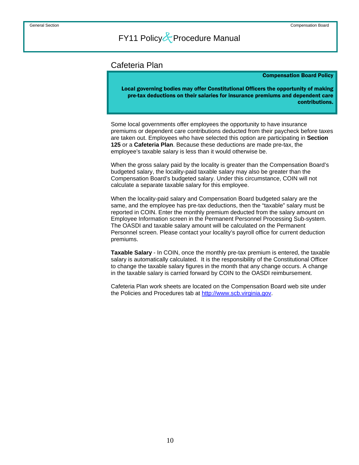### <span id="page-16-0"></span>Cafeteria Plan

#### Compensation Board Policy

Local governing bodies may offer Constitutional Officers the opportunity of making pre-tax deductions on their salaries for insurance premiums and dependent care contributions.

 Some local governments offer employees the opportunity to have insurance premiums or dependent care contributions deducted from their paycheck before taxes are taken out. Employees who have selected this option are participating in **Section 125** or a **Cafeteria Plan**. Because these deductions are made pre-tax, the employee's taxable salary is less than it would otherwise be.

When the gross salary paid by the locality is greater than the Compensation Board's budgeted salary, the locality-paid taxable salary may also be greater than the Compensation Board's budgeted salary. Under this circumstance, COIN will not calculate a separate taxable salary for this employee.

When the locality-paid salary and Compensation Board budgeted salary are the same, and the employee has pre-tax deductions, then the "taxable" salary must be reported in COIN. Enter the monthly premium deducted from the salary amount on Employee Information screen in the Permanent Personnel Processing Sub-system. The OASDI and taxable salary amount will be calculated on the Permanent Personnel screen. Please contact your locality's payroll office for current deduction premiums.

**Taxable Salary** - In COIN, once the monthly pre-tax premium is entered, the taxable salary is automatically calculated. It is the responsibility of the Constitutional Officer to change the taxable salary figures in the month that any change occurs. A change in the taxable salary is carried forward by COIN to the OASDI reimbursement.

Cafeteria Plan work sheets are located on the Compensation Board web site under the Policies and Procedures tab at [http://www.scb.virginia.gov.](http://www.scb.virginia.gov/)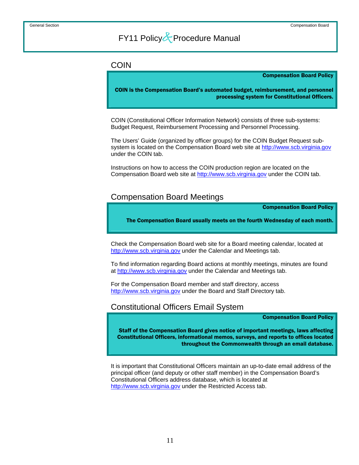### <span id="page-17-0"></span>COIN

#### Compensation Board Policy

COIN is the Compensation Board's automated budget, reimbursement, and personnel processing system for Constitutional Officers.

COIN (Constitutional Officer Information Network) consists of three sub-systems: Budget Request, Reimbursement Processing and Personnel Processing.

The Users' Guide (organized by officer groups) for the COIN Budget Request subsystem is located on the Compensation Board web site at [http://www.scb.virginia.gov](http://www.scb.virginia.gov/)  under the COIN tab.

Instructions on how to access the COIN production region are located on the Compensation Board web site at [http://www.scb.virginia.gov](http://www.scb.virginia.gov/) under the COIN tab.

### Compensation Board Meetings

Compensation Board Policy

The Compensation Board usually meets on the fourth Wednesday of each month.

 Check the Compensation Board web site for a Board meeting calendar, located at [http://www.scb.virginia.gov](http://www.scb.virginia.gov/) under the Calendar and Meetings tab.

To find information regarding Board actions at monthly meetings, minutes are found at [http://www.scb.virginia.gov](http://www.scb.virginia.gov/) under the Calendar and Meetings tab.

For the Compensation Board member and staff directory, access [http://www.scb.virginia.gov](http://www.scb.virginia.gov/) under the Board and Staff Directory tab.

### Constitutional Officers Email System

Compensation Board Policy

Staff of the Compensation Board gives notice of important meetings, laws affecting Constitutional Officers, informational memos, surveys, and reports to offices located throughout the Commonwealth through an email database.

 It is important that Constitutional Officers maintain an up-to-date email address of the principal officer (and deputy or other staff member) in the Compensation Board's Constitutional Officers address database, which is located at [http://www.scb.virginia.gov](http://www.scb.virginia.gov/) under the Restricted Access tab.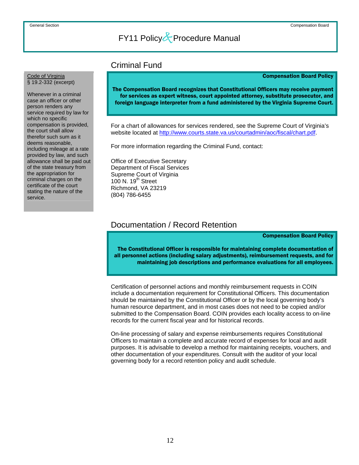### Criminal Fund

#### Compensation Board Policy

The Compensation Board recognizes that Constitutional Officers may receive payment for services as expert witness, court appointed attorney, substitute prosecutor, and foreign language interpreter from a fund administered by the Virginia Supreme Court.

For a chart of allowances for services rendered, see the Supreme Court of Virginia's website located at <http://www.courts.state.va.us/courtadmin/aoc/fiscal/chart.pdf>.

For more information regarding the Criminal Fund, contact:

Office of Executive Secretary Department of Fiscal Services Supreme Court of Virginia 100 N.  $19<sup>th</sup>$  Street Richmond, VA 23219 (804) 786-6455

### Documentation / Record Retention

Compensation Board Policy

The Constitutional Officer is responsible for maintaining complete documentation of all personnel actions (including salary adjustments), reimbursement requests, and for maintaining job descriptions and performance evaluations for all employees.

 Certification of personnel actions and monthly reimbursement requests in COIN include a documentation requirement for Constitutional Officers. This documentation should be maintained by the Constitutional Officer or by the local governing body's human resource department, and in most cases does not need to be copied and/or submitted to the Compensation Board. COIN provides each locality access to on-line records for the current fiscal year and for historical records.

On-line processing of salary and expense reimbursements requires Constitutional Officers to maintain a complete and accurate record of expenses for local and audit purposes. It is advisable to develop a method for maintaining receipts, vouchers, and other documentation of your expenditures. Consult with the auditor of your local governing body for a record retention policy and audit schedule.

#### <span id="page-18-0"></span>Code of Virginia § 19.2-332 (excerpt)

Whenever in a criminal case an officer or other person renders any service required by law for which no specific compensation is provided, the court shall allow therefor such sum as it deems reasonable, including mileage at a rate provided by law, and such allowance shall be paid out of the state treasury from the appropriation for criminal charges on the certificate of the court stating the nature of the service.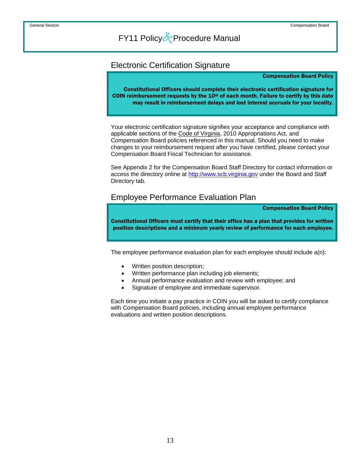### <span id="page-19-0"></span>Electronic Certification Signature

#### Compensation Board Policy

Constitutional Officers should complete their electronic certification signature for COIN reimbursement requests by the  $10<sup>th</sup>$  of each month. Failure to certify by this date may result in reimbursement delays and lost interest accruals for your locality.

 Your electronic certification signature signifies your acceptance and compliance with applicable sections of the Code of Virginia, 2010 Appropriations Act, and Compensation Board policies referenced in this manual. Should you need to make changes to your reimbursement request after you have certified, please contact your Compensation Board Fiscal Technician for assistance.

See Appendix 2 for the Compensation Board Staff Directory for contact information or access the directory online at [http://www.scb.virginia.gov](http://www.scb.virginia.gov/) under the Board and Staff Directory tab.

### Employee Performance Evaluation Plan

Compensation Board Policy

Constitutional Officers must certify that their office has a plan that provides for written position descriptions and a minimum yearly review of performance for each employee.

The employee performance evaluation plan for each employee should include a(n):

- Written position description;
- Written performance plan including job elements;
- Annual performance evaluation and review with employee; and
- Signature of employee and immediate supervisor.

Each time you initiate a pay practice in COIN you will be asked to certify compliance with Compensation Board policies, including annual employee performance evaluations and written position descriptions.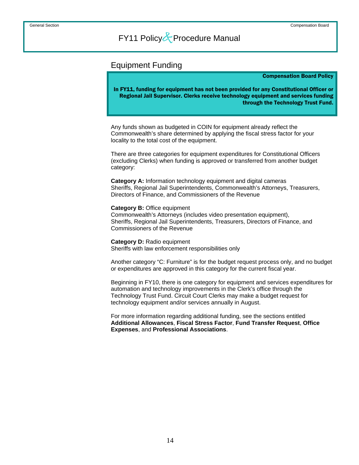### <span id="page-20-0"></span>Equipment Funding

#### Compensation Board Policy

In FY11, funding for equipment has not been provided for any Constitutional Officer or Regional Jail Supervisor. Clerks receive technology equipment and services funding through the Technology Trust Fund.

Any funds shown as budgeted in COIN for equipment already reflect the Commonwealth's share determined by applying the fiscal stress factor for your locality to the total cost of the equipment.

There are three categories for equipment expenditures for Constitutional Officers (excluding Clerks) when funding is approved or transferred from another budget category:

**Category A:** Information technology equipment and digital cameras Sheriffs, Regional Jail Superintendents, Commonwealth's Attorneys, Treasurers, Directors of Finance, and Commissioners of the Revenue

### **Category B:** Office equipment

Commonwealth's Attorneys (includes video presentation equipment), Sheriffs, Regional Jail Superintendents, Treasurers, Directors of Finance, and Commissioners of the Revenue

**Category D:** Radio equipment Sheriffs with law enforcement responsibilities only

Another category "C: Furniture" is for the budget request process only, and no budget or expenditures are approved in this category for the current fiscal year.

Beginning in FY10, there is one category for equipment and services expenditures for automation and technology improvements in the Clerk's office through the Technology Trust Fund. Circuit Court Clerks may make a budget request for technology equipment and/or services annually in August.

For more information regarding additional funding, see the sections entitled **Additional Allowances**, **Fiscal Stress Factor**, **Fund Transfer Request**, **Office Expenses**, and **Professional Associations**.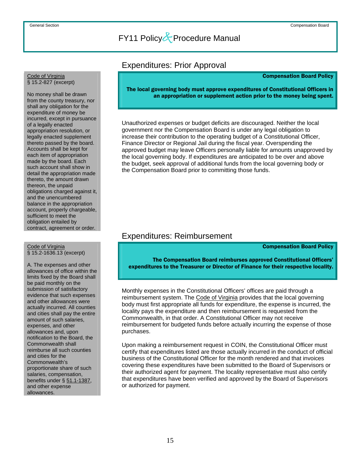### Expenditures: Prior Approval

#### Compensation Board Policy

The local governing body must approve expenditures of Constitutional Officers in an appropriation or supplement action prior to the money being spent.

 Unauthorized expenses or budget deficits are discouraged. Neither the local government nor the Compensation Board is under any legal obligation to increase their contribution to the operating budget of a Constitutional Officer, Finance Director or Regional Jail during the fiscal year. Overspending the approved budget may leave Officers personally liable for amounts unapproved by the local governing body. If expenditures are anticipated to be over and above the budget, seek approval of additional funds from the local governing body or the Compensation Board prior to committing those funds.

### Expenditures: Reimbursement

Compensation Board Policy

 The Compensation Board reimburses approved Constitutional Officers' expenditures to the Treasurer or Director of Finance for their respective locality.

 Monthly expenses in the Constitutional Officers' offices are paid through a reimbursement system. The Code of Virginia provides that the local governing body must first appropriate all funds for expenditure, the expense is incurred, the locality pays the expenditure and then reimbursement is requested from the Commonwealth, in that order. A Constitutional Officer may not receive reimbursement for budgeted funds before actually incurring the expense of those purchases.

Upon making a reimbursement request in COIN, the Constitutional Officer must certify that expenditures listed are those actually incurred in the conduct of official business of the Constitutional Officer for the month rendered and that invoices covering these expenditures have been submitted to the Board of Supervisors or their authorized agent for payment. The locality representative must also certify that expenditures have been verified and approved by the Board of Supervisors or authorized for payment.

## <span id="page-21-0"></span>Code of Virginia<br>§ 15.2-827 (excerpt)

No money shall be drawn from the county treasury, nor shall any obligation for the expenditure of money be incurred, except in pursuance of a legally enacted appropriation resolution, or legally enacted supplement thereto passed by the board. Accounts shall be kept for each item of appropriation made by the board. Each such account shall show in detail the appropriation made thereto, the amount drawn thereon, the unpaid obligations charged against it, and the unencumbered balance in the appropriation account, properly chargeable, sufficient to meet the obligation entailed by contract, agreement or order.

## Code of Virginia<br>§ 15.2-1636.13 (excerpt)

A. The expenses and other allowances of office within the limits fixed by the Board shall be paid monthly on the submission of satisfactory evidence that such expenses and other allowances were actually incurred. All counties and cities shall pay the entire amount of such salaries, expenses, and other allowances and, upon notification to the Board, the Commonwealth shall reimburse all such counties and cities for the Commonwealth's proportionate share of such salaries, compensation, benefits under § 51.1-1387, and other expense allowances.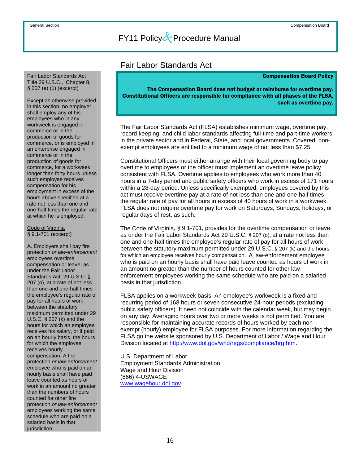<span id="page-22-0"></span> Fair Labor Standards Act Title 29 U.S.C., Chapter 8, § 207 (a) (1) (excerpt)

Except as otherwise provided in this section, no employer shall employ any of his employees who in any workweek is engaged in commerce or in the production of goods for commerce, or is employed in an enterprise engaged in commerce or in the production of goods for commerce, for a workweek longer than forty hours unless such employee receives compensation for his employment in excess of the hours above specified at a rate not less than one and one-half times the regular rate at which he is employed.

#### Code of Virginia § 9.1-701 (excerpt)

A. Employers shall pay fire protection *or law-enforcement*  employees overtime compensation or leave, as under the Fair Labor Standards Act, 29 U.S.C. § 207 (o), at a rate of not less than one and one-half times the employee's regular rate of pay for all hours of work between the statutory maximum permitted under 29 U.S.C. § 207 (k) and the hours for which an employee receives his salary, or if paid on an hourly basis, the hours for which the employee receives hourly compensation. A fire protection *or law-enforcement*  employee who is paid on an hourly basis shall have paid leave counted as hours of work in an amount no greater than the numbers of hours counted for other fire protection *or law-enforcement*  employees working the same schedule who are paid on a salaried basis in that jurisdiction.

### Fair Labor Standards Act

#### Compensation Board Policy

The Compensation Board does not budget or reimburse for overtime pay. Constitutional Officers are responsible for compliance with all phases of the FLSA, such as overtime pay.

 The Fair Labor Standards Act (FLSA) establishes minimum wage, overtime pay, record keeping, and child labor standards affecting full-time and part-time workers in the private sector and in Federal, State, and local governments. Covered, nonexempt employees are entitled to a minimum wage of not less than \$7.25.

Constitutional Officers must either arrange with their local governing body to pay overtime to employees or the officer must implement an overtime leave policy consistent with FLSA. Overtime applies to employees who work more than 40 hours in a 7-day period and public safety officers who work in excess of 171 hours within a 28-day period. Unless specifically exempted, employees covered by this act must receive overtime pay at a rate of not less than one and one-half times the regular rate of pay for all hours in excess of 40 hours of work in a workweek. FLSA does not require overtime pay for work on Saturdays, Sundays, holidays, or regular days of rest, as such.

The Code of Virginia, § 9.1-701, provides for the overtime compensation or leave, as under the Fair Labor Standards Act 29 U.S.C. § 207 (o), at a rate not less than one and one-half times the employee's regular rate of pay for all hours of work between the statutory maximum permitted under 29 U.S.C. § 207 (k) and the hours for which an employee receives hourly compensation. A law-enforcement employee who is paid on an hourly basis shall have paid leave counted as hours of work in an amount no greater than the number of hours counted for other lawenforcement employees working the same schedule who are paid on a salaried basis in that jurisdiction.

FLSA applies on a workweek basis. An employee's workweek is a fixed and recurring period of 168 hours or seven consecutive 24-hour periods (excluding public safety officers). It need not coincide with the calendar week, but may begin on any day. Averaging hours over two or more weeks is not permitted. You are responsible for maintaining accurate records of hours worked by each nonexempt (hourly) employee for FLSA purposes. For more information regarding the FLSA go the website sponsored by U.S. Department of Labor / Wage and Hour Division located at<http://www.dol.gov/whd/regs/compliance/hrg.htm>.

U.S. Department of Labor Employment Standards Administration Wage and Hour Division (866) 4-USWAGE [www.wagehour.dol.gov](http://www.wagehour.dol.gov/)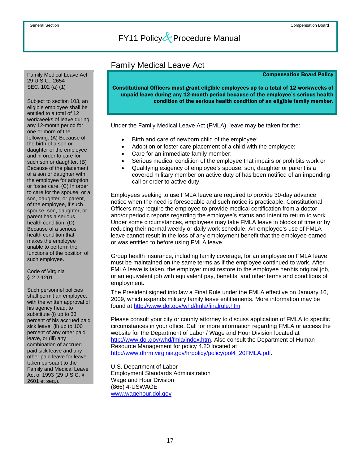<span id="page-23-0"></span> Family Medical Leave Act 29 U.S.C., 2654 SEC. 102 (a) (1)

Subject to section 103, an eligible employee shall be entitled to a total of 12 workweeks of leave during any 12-month period for one or more of the following: (A) Because of the birth of a son or daughter of the employee and in order to care for such son or daughter. (B) Because of the placement of a son or daughter with the employee for adoption or foster care. (C) In order to care for the spouse, or a son, daughter, or parent, of the employee, if such spouse, son, daughter, or parent has a serious health condition. (D) Because of a serious health condition that makes the employee unable to perform the functions of the position of such employee.

### Code of Virginia § 2.2-1201

Such personnel policies shall permit an employee, with the written approval of his agency head, to substitute (i) up to 33 percent of his accrued paid sick leave, (ii) up to 100 percent of any other paid leave, or (iii) any combination of accrued paid sick leave and any other paid leave for leave taken pursuant to the Family and Medical Leave Act of 1993 (29 U.S.C. § 2601 et seq.).

### Family Medical Leave Act

#### Compensation Board Policy

Constitutional Officers must grant eligible employees up to a total of 12 workweeks of unpaid leave during any 12-month period because of the employee's serious health condition of the serious health condition of an eligible family member.

Under the Family Medical Leave Act (FMLA), leave may be taken for the:

- Birth and care of newborn child of the employee;
- Adoption or foster care placement of a child with the employee;
- Care for an immediate family member;
- Serious medical condition of the employee that impairs or prohibits work or
- Qualifying exigency of employee's spouse, son, daughter or parent is a covered military member on active duty of has been notified of an impending call or order to active duty.

Employees seeking to use FMLA leave are required to provide 30-day advance notice when the need is foreseeable and such notice is practicable. Constitutional Officers may require the employee to provide medical certification from a doctor and/or periodic reports regarding the employee's status and intent to return to work. Under some circumstances, employees may take FMLA leave in blocks of time or by reducing their normal weekly or daily work schedule. An employee's use of FMLA leave cannot result in the loss of any employment benefit that the employee earned or was entitled to before using FMLA leave.

Group health insurance, including family coverage, for an employee on FMLA leave must be maintained on the same terms as if the employee continued to work. After FMLA leave is taken, the employer must restore to the employee her/his original job, or an equivalent job with equivalent pay, benefits, and other terms and conditions of employment.

The President signed into law a Final Rule under the FMLA effective on January 16, 2009, which expands military family leave entitlements. More information may be found at [http://www.dol.gov/whd/fmla/finalrule.htm.](http://www.dol.gov/whd/fmla/finalrule.htm)

Please consult your city or county attorney to discuss application of FMLA to specific circumstances in your office. Call for more information regarding FMLA or access the website for the Department of Labor / Wage and Hour Division located at [http://www.dol.gov/whd/fmla/index.htm.](http://www.dol.gov/whd/fmla/index.htm) Also consult the Department of Human Resource Management for policy 4.20 located at [http://www.dhrm.virginia.gov/hrpolicy/policy/pol4\\_20FMLA.pdf](http://www.dhrm.virginia.gov/hrpolicy/policy/pol4_20FMLA.pdf).

U.S. Department of Labor Employment Standards Administration Wage and Hour Division (866) 4-USWAGE [www.wagehour.dol.gov](http://www.wagehour.dol.gov/)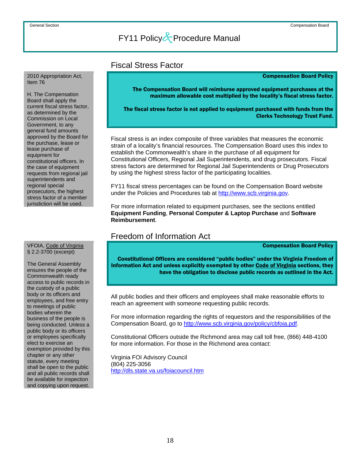### Fiscal Stress Factor

#### Compensation Board Policy

The Compensation Board will reimburse approved equipment purchases at the maximum allowable cost multiplied by the locality's fiscal stress factor.

The fiscal stress factor is not applied to equipment purchased with funds from the Clerks Technology Trust Fund.

Fiscal stress is an index composite of three variables that measures the economic strain of a locality's financial resources. The Compensation Board uses this index to establish the Commonwealth's share in the purchase of all equipment for Constitutional Officers, Regional Jail Superintendents, and drug prosecutors. Fiscal stress factors are determined for Regional Jail Superintendents or Drug Prosecutors by using the highest stress factor of the participating localities.

FY11 fiscal stress percentages can be found on the Compensation Board website under the Policies and Procedures tab at [http://www.scb.virginia.gov.](http://www.scb.virginia.gov/)

For more information related to equipment purchases, see the sections entitled **Equipment Funding**, **Personal Computer & Laptop Purchase** and **Software Reimbursement**.

### Freedom of Information Act

Compensation Board Policy

Constitutional Officers are considered "public bodies" under the Virginia Freedom of Information Act and unless explicitly exempted by other Code of Virginia sections, they have the obligation to disclose public records as outlined in the Act.

 All public bodies and their officers and employees shall make reasonable efforts to reach an agreement with someone requesting public records.

For more information regarding the rights of requestors and the responsibilities of the Compensation Board, go to [http://www.scb.virginia.gov/policy/cbfoia.pdf.](http://www.scb.virginia.gov/policy/cbfoia.pdf)

Constitutional Officers outside the Richmond area may call toll free, (866) 448-4100 for more information. For those in the Richmond area contact:

Virginia FOI Advisory Council (804) 225-3056 <http://dls.state.va.us/foiacouncil.htm>

#### <span id="page-24-0"></span> 2010 Appropriation Act, Item 76

H. The Compensation Board shall apply the current fiscal stress factor, as determined by the Commission on Local Government, to any general fund amounts approved by the Board for the purchase, lease or lease purchase of equipment for constitutional officers. In the case of equipment requests from regional jail superintendents and regional special prosecutors, the highest stress factor of a member jurisdiction will be used.

## VFOIA, Code of Virginia<br>§ 2.2-3700 (excerpt)

The General Assembly ensures the people of the Commonwealth ready access to public records in the custody of a public body or its officers and employees, and free entry to meetings of public bodies wherein the business of the people is being conducted. Unless a public body or its officers or employees specifically elect to exercise an exemption provided by this chapter or any other statute, every meeting shall be open to the public and all public records shall be available for inspection and copying upon request.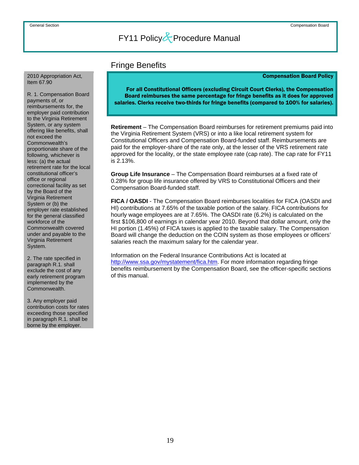### Fringe Benefits

#### Compensation Board Policy

For all Constitutional Officers (excluding Circuit Court Clerks), the Compensation Board reimburses the same percentage for fringe benefits as it does for approved salaries. Clerks receive two-thirds for fringe benefits (compared to 100% for salaries).

 **Retirement** – The Compensation Board reimburses for retirement premiums paid into the Virginia Retirement System (VRS) or into a like local retirement system for Constitutional Officers and Compensation Board-funded staff. Reimbursements are paid for the employer-share of the rate only, at the lesser of the VRS retirement rate approved for the locality, or the state employee rate (cap rate). The cap rate for FY11 is 2.13%.

**Group Life Insurance** – The Compensation Board reimburses at a fixed rate of 0.28% for group life insurance offered by VRS to Constitutional Officers and their Compensation Board-funded staff.

**FICA / OASDI** - The Compensation Board reimburses localities for FICA (OASDI and HI) contributions at 7.65% of the taxable portion of the salary. FICA contributions for hourly wage employees are at 7.65%. The OASDI rate (6.2%) is calculated on the first \$106,800 of earnings in calendar year 2010. Beyond that dollar amount, only the HI portion (1.45%) of FICA taxes is applied to the taxable salary. The Compensation Board will change the deduction on the COIN system as those employees or officers' salaries reach the maximum salary for the calendar year.

Information on the Federal Insurance Contributions Act is located at [http://www.ssa.gov/mystatement/fica.htm.](http://www.ssa.gov/mystatement/fica.htm) For more information regarding fringe benefits reimbursement by the Compensation Board, see the officer-specific sections of this manual.

#### <span id="page-25-0"></span> 2010 Appropriation Act, Item 67.90

R. 1. Compensation Board payments of, or reimbursements for, the employer paid contribution to the Virginia Retirement System, or any system offering like benefits, shall not exceed the Commonwealth's proportionate share of the following, whichever is less: (a) the actual retirement rate for the local constitutional officer's office or regional correctional facility as set by the Board of the Virginia Retirement System or (b) the employer rate established for the general classified workforce of the Commonwealth covered under and payable to the Virginia Retirement System.

2. The rate specified in paragraph R.1. shall exclude the cost of any early retirement program implemented by the Commonwealth.

3. Any employer paid contribution costs for rates exceeding those specified in paragraph R.1. shall be borne by the employer.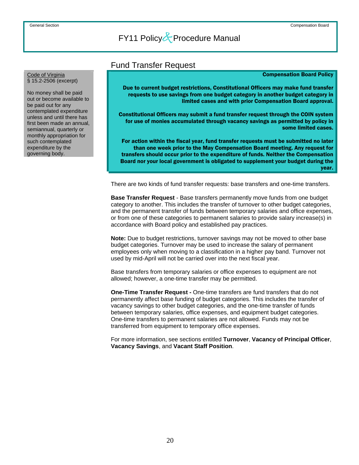### Fund Transfer Request

#### Compensation Board Policy

Due to current budget restrictions, Constitutional Officers may make fund transfer requests to use savings from one budget category in another budget category in limited cases and with prior Compensation Board approval.

Constitutional Officers may submit a fund transfer request through the COIN system for use of monies accumulated through vacancy savings as permitted by policy in some limited cases.

For action within the fiscal year, fund transfer requests must be submitted no later than one week prior to the May Compensation Board meeting. Any request for transfers should occur prior to the expenditure of funds. Neither the Compensation Board nor your local government is obligated to supplement your budget during the year.

There are two kinds of fund transfer requests: base transfers and one-time transfers.

**Base Transfer Request** - Base transfers permanently move funds from one budget category to another. This includes the transfer of turnover to other budget categories, and the permanent transfer of funds between temporary salaries and office expenses, or from one of these categories to permanent salaries to provide salary increase(s) in accordance with Board policy and established pay practices.

**Note:** Due to budget restrictions, turnover savings may not be moved to other base budget categories. Turnover may be used to increase the salary of permanent employees only when moving to a classification in a higher pay band. Turnover not used by mid-April will not be carried over into the next fiscal year.

Base transfers from temporary salaries or office expenses to equipment are not allowed; however, a one-time transfer may be permitted.

**One-Time Transfer Request -** One-time transfers are fund transfers that do not permanently affect base funding of budget categories. This includes the transfer of vacancy savings to other budget categories, and the one-time transfer of funds between temporary salaries, office expenses, and equipment budget categories. One-time transfers to permanent salaries are not allowed. Funds may not be transferred from equipment to temporary office expenses.

For more information, see sections entitled **Turnover**, **Vacancy of Principal Officer**, **Vacancy Savings**, and **Vacant Staff Position**.

#### <span id="page-26-0"></span>Code of Virginia § 15.2-2506 (excerpt)

No money shall be paid out or become available to be paid out for any contemplated expenditure unless and until there has first been made an annual, semiannual, quarterly or monthly appropriation for such contemplated expenditure by the governing body.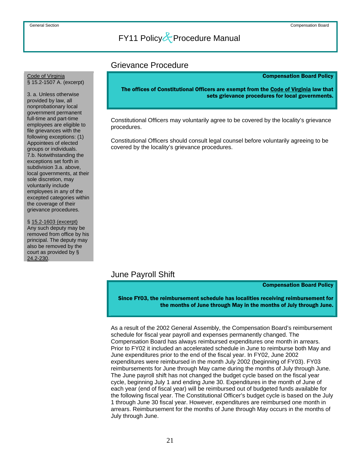### Grievance Procedure

#### Compensation Board Policy

The offices of Constitutional Officers are exempt from the Code of Virginia law that sets grievance procedures for local governments.

 Constitutional Officers may voluntarily agree to be covered by the locality's grievance procedures.

Constitutional Officers should consult legal counsel before voluntarily agreeing to be covered by the locality's grievance procedures.

### June Payroll Shift

Compensation Board Policy

Since FY03, the reimbursement schedule has localities receiving reimbursement for the months of June through May in the months of July through June.

 As a result of the 2002 General Assembly, the Compensation Board's reimbursement schedule for fiscal year payroll and expenses permanently changed. The Compensation Board has always reimbursed expenditures one month in arrears. Prior to FY02 it included an accelerated schedule in June to reimburse both May and June expenditures prior to the end of the fiscal year. In FY02, June 2002 expenditures were reimbursed in the month July 2002 (beginning of FY03). FY03 reimbursements for June through May came during the months of July through June. The June payroll shift has not changed the budget cycle based on the fiscal year cycle, beginning July 1 and ending June 30. Expenditures in the month of June of each year (end of fiscal year) will be reimbursed out of budgeted funds available for the following fiscal year. The Constitutional Officer's budget cycle is based on the July 1 through June 30 fiscal year. However, expenditures are reimbursed one month in arrears. Reimbursement for the months of June through May occurs in the months of July through June.

## <span id="page-27-0"></span>Code of Virginia<br>§ 15.2-1507 A. (excerpt)

3. a. Unless otherwise provided by law, all nonprobationary local government permanent full-time and part-time employees are eligible to file grievances with the following exceptions: (1) Appointees of elected groups or individuals. 7.b. Notwithstanding the exceptions set forth in subdivision 3.a. above, local governments, at their sole discretion, may voluntarily include employees in any of the excepted categories within the coverage of their grievance procedures.

§ 15.2-1603 (excerpt) Any such deputy may be removed from office by his principal. The deputy may also be removed by the court as provided by § [24.2-230.](http://leg1.state.va.us/cgi-bin/legp504.exe?000+cod+24.2-230)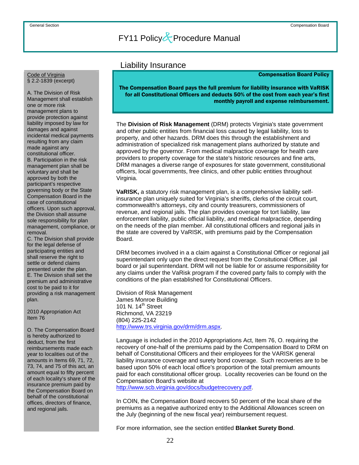### Liability Insurance

#### Compensation Board Policy

The Compensation Board pays the full premium for liability insurance with VaRISK for all Constitutional Officers and deducts 50% of the cost from each year's first monthly payroll and expense reimbursement.

The **Division of Risk Management** (DRM) protects Virginia's state government and other public entities from financial loss caused by legal liability, loss to property, and other hazards. DRM does this through the establishment and administration of specialized risk management plans authorized by statute and approved by the governor. From medical malpractice coverage for health care providers to property coverage for the state's historic resources and fine arts, DRM manages a diverse range of exposures for state government, constitutional officers, local governments, free clinics, and other public entities throughout Virginia.

**VaRISK,** a statutory risk management plan, is a comprehensive liability selfinsurance plan uniquely suited for Virginia's sheriffs, clerks of the circuit court, commonwealth's attorneys, city and county treasurers, commissioners of revenue, and regional jails. The plan provides coverage for tort liability, law enforcement liability, public official liability, and medical malpractice, depending on the needs of the plan member. All constitutional officers and regional jails in the state are covered by VaRISK, with premiums paid by the Compensation Board.

DRM becomes involved in a a claim against a Constitutional Officer or regional jail superintendant only upon the direct request from the Consitutional Officer, jail board or jail superintendant. DRM will not be liable for or assume responsibility for any claims under the VaRisk program if the covered party fails to comply with the conditions of the plan established for Constitutional Officers.

Division of Risk Management James Monroe Building 101 N. 14<sup>th</sup> Street Richmond, VA 23219 (804) 225-2142 <http://www.trs.virginia.gov/drm/drm.aspx>.

Language is included in the 2010 Appropriations Act, Item 76, O. requiring the recovery of one-half of the premiums paid by the Compensation Board to DRM on behalf of Constitutional Officers and their employees for the VARISK general liability insurance coverage and surety bond coverage. Such recoveries are to be based upon 50% of each local office's proportion of the total premium amounts paid for each constitutional officer group. Locality recoveries can be found on the Compensation Board's website at

<http://www.scb.virginia.gov/docs/budgetrecovery.pdf>.

In COIN, the Compensation Board recovers 50 percent of the local share of the premiums as a negative authorized entry to the Additional Allowances screen on the July (beginning of the new fiscal year) reimbursement request.

For more information, see the section entitled **Blanket Surety Bond**.

<span id="page-28-0"></span>Code of Virginia § 2.2-1839 (excerpt)

A. The Division of Risk Management shall establish one or more risk management plans to provide protection against liability imposed by law for damages and against incidental medical payments resulting from any claim made against any constitutional officer. B. Participation in the risk management plan shall be voluntary and shall be approved by both the participant's respective governing body or the State Compensation Board in the case of constitutional officers. Upon such approval, the Division shall assume sole responsibility for plan management, compliance, or removal.

C. The Division shall provide for the legal defense of participating entities and shall reserve the right to settle or defend claims presented under the plan. E. The Division shall set the premium and administrative cost to be paid to it for providing a risk management plan.

2010 Appropriation Act Item 76

O. The Compensation Board is hereby authorized to deduct, from the first reimbursements made each year to localities out of the amounts in Items 69, 71, 72, 73, 74, and 75 of this act, an amount equal to fifty percent of each locality's share of the insurance premium paid by the Compensation Board on behalf of the constitutional offices, directors of finance, and regional jails.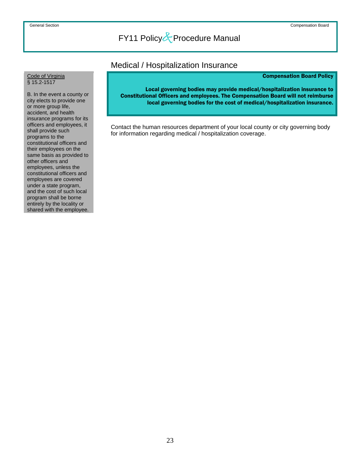### Medical / Hospitalization Insurance

#### Compensation Board Policy

<span id="page-29-0"></span>Code of Virginia<br>§ 15.2-1517

B. In the event a county or city elects to provide one or more group life, accident, and health insurance programs for its officers and employees, it shall provide such programs to the constitutional officers and their employees on the same basis as provided to other officers and employees, unless the constitutional officers and employees are covered under a state program, and the cost of such local program shall be borne entirely by the locality or shared with the employee.

Local governing bodies may provide medical/hospitalization insurance to Constitutional Officers and employees. The Compensation Board will not reimburse local governing bodies for the cost of medical/hospitalization insurance.

 Contact the human resources department of your local county or city governing body for information regarding medical / hospitalization coverage.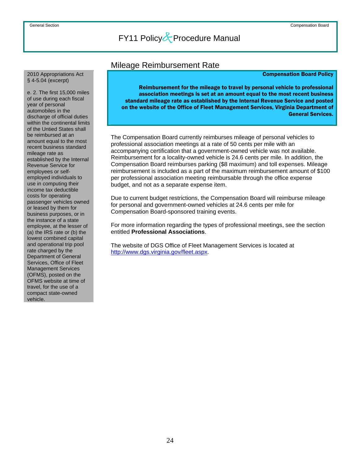#### <span id="page-30-0"></span>2010 Appropriations Act § 4-5.04 (excerpt)

e. 2. The first 15,000 miles of use during each fiscal year of personal automobiles in the discharge of official duties within the continental limits of the Untied States shall be reimbursed at an amount equal to the most recent business standard mileage rate as established by the Internal Revenue Service for employees or selfemployed individuals to use in computing their income tax deductible costs for operating passenger vehicles owned or leased by them for business purposes, or in the instance of a state employee, at the lesser of (a) the IRS rate or (b) the lowest combined capital and operational trip pool rate charged by the Department of General Services, Office of Fleet Management Services (OFMS), posted on the OFMS website at time of travel, for the use of a compact state-owned vehicle.

### Mileage Reimbursement Rate

### Compensation Board Policy

Reimbursement for the mileage to travel by personal vehicle to professional association meetings is set at an amount equal to the most recent business standard mileage rate as established by the Internal Revenue Service and posted on the website of the Office of Fleet Management Services, Virginia Department of General Services.

 The Compensation Board currently reimburses mileage of personal vehicles to professional association meetings at a rate of 50 cents per mile with an accompanying certification that a government-owned vehicle was not available. Reimbursement for a locality-owned vehicle is 24.6 cents per mile. In addition, the Compensation Board reimburses parking (\$8 maximum) and toll expenses. Mileage reimbursement is included as a part of the maximum reimbursement amount of \$100 per professional association meeting reimbursable through the office expense budget, and not as a separate expense item.

Due to current budget restrictions, the Compensation Board will reimburse mileage for personal and government-owned vehicles at 24.6 cents per mile for Compensation Board-sponsored training events.

For more information regarding the types of professional meetings, see the section entitled **Professional Associations**.

The website of DGS Office of Fleet Management Services is located at [http://www.dgs.virginia.gov/fleet.aspx.](http://www.dgs.virginia.gov/fleet.aspx)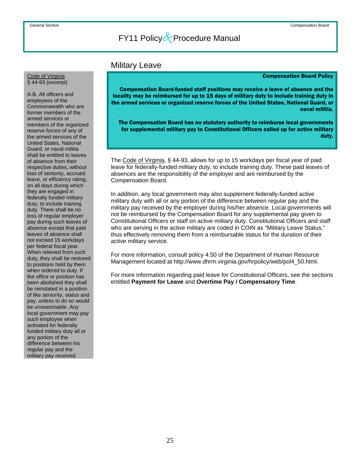### Military Leave

#### Compensation Board Policy

Compensation Board-funded staff positions may receive a leave of absence and the locality may be reimbursed for up to 15 days of military duty to include training duty in the armed services or organized reserve forces of the United States, National Guard, or naval militia.

The Compensation Board has no statutory authority to reimburse local governments for supplemental military pay to Constitutional Officers called up for active military duty.

 The Code of Virginia, § 44-93, allows for up to 15 workdays per fiscal year of paid leave for federally-funded military duty, to include training duty. These paid leaves of absences are the responsibility of the employer and are reimbursed by the Compensation Board.

In addition, any local government may also supplement federally-funded active military duty with all or any portion of the difference between regular pay and the military pay received by the employer during his/her absence. Local governments will not be reimbursed by the Compensation Board for any supplemental pay given to Constitutional Officers or staff on active military duty. Constitutional Officers and staff who are serving in the active military are coded in COIN as "Military Leave Status," thus effectively removing them from a reimbursable status for the duration of their active military service.

For more information, consult policy 4.50 of the Department of Human Resource Management located at http://www.dhrm.virginia.gov/hrpolicy/web/pol4\_50.html.

For more information regarding paid leave for Constitutional Officers, see the sections entitled **Payment for Leave** and **Overtime Pay / Compensatory Time**.

## <span id="page-31-0"></span>Code of Virginia<br>§ 44-93 (excerpt)

A-B. All officers and employees of the Commonwealth who are former members of the armed services or members of the organized reserve forces of any of the armed services of the United States, National Guard, or naval militia shall be entitled to leaves of absence from their respective duties, without loss of seniority, accrued leave, or efficiency rating, on all days during which they are engaged in federally funded military duty, to include training duty. There shall be no loss of regular employer pay during such leaves of absence except that paid leaves of absence shall not exceed 15 workdays per federal fiscal year. When relieved from such duty, they shall be restored to positions held by them when ordered to duty. If the office or position has been abolished they shall be reinstated in a position of like seniority, status and pay, unless to do so would be unreasonable. Any local government may pay such employee when activated for federally funded military duty all or any portion of the difference between his regular pay and the military pay received.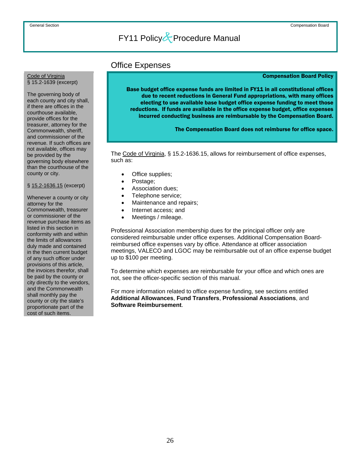### Office Expenses

#### Compensation Board Policy

Base budget office expense funds are limited in FY11 in all constitutional offices due to recent reductions in General Fund appropriations, with many offices electing to use available base budget office expense funding to meet those reductions. If funds are available in the office expense budget, office expenses incurred conducting business are reimbursable by the Compensation Board.

The Compensation Board does not reimburse for office space.

 The Code of Virginia, § 15.2-1636.15, allows for reimbursement of office expenses, such as:

- Office supplies;
- Postage;
- Association dues;
- Telephone service;
- Maintenance and repairs;
- Internet access; and
- Meetings / mileage.

Professional Association membership dues for the principal officer only are considered reimbursable under office expenses. Additional Compensation Boardreimbursed office expenses vary by office. Attendance at officer association meetings, VALECO and LGOC may be reimbursable out of an office expense budget up to \$100 per meeting.

To determine which expenses are reimbursable for your office and which ones are not, see the officer-specific section of this manual.

For more information related to office expense funding, see sections entitled **Additional Allowances**, **Fund Transfers**, **Professional Associations**, and **Software Reimbursement**.

<span id="page-32-0"></span>Code of Virginia § 15.2-1639 (excerpt)

The governing body of each county and city shall, if there are offices in the courthouse available, provide offices for the treasurer, attorney for the Commonwealth, sheriff, and commissioner of the revenue. If such offices are not available, offices may be provided by the governing body elsewhere than the courthouse of the county or city.

#### § 15.2-1636.15 (excerpt)

Whenever a county or city attorney for the Commonwealth, treasurer or commissioner of the revenue purchase items as listed in this section in conformity with and within the limits of allowances duly made and contained in the then current budget of any such officer under provisions of this article, the invoices therefor, shall be paid by the county or city directly to the vendors, and the Commonwealth shall monthly pay the county or city the state's proportionate part of the cost of such items.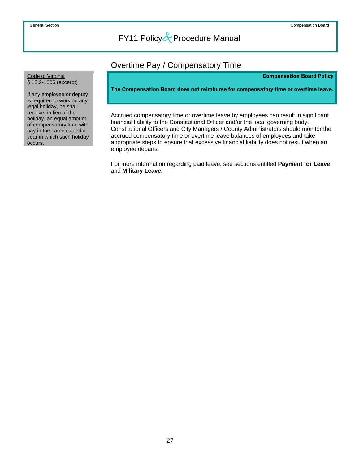### Overtime Pay / Compensatory Time

#### Compensation Board Policy

The Compensation Board does not reimburse for compensatory time or overtime leave.

Accrued compensatory time or overtime leave by employees can result in significant financial liability to the Constitutional Officer and/or the local governing body. Constitutional Officers and City Managers / County Administrators should monitor the accrued compensatory time or overtime leave balances of employees and take appropriate steps to ensure that excessive financial liability does not result when an employee departs.

For more information regarding paid leave, see sections entitled **Payment for Leave** and **Military Leave.**

<span id="page-33-0"></span>Code of Virginia<br>§ 15.2-1605 (excerpt)

If any employee or deputy is required to work on any legal holiday, he shall receive, in lieu of the holiday, an equal amount of compensatory time with pay in the same calendar year in which such holiday occurs.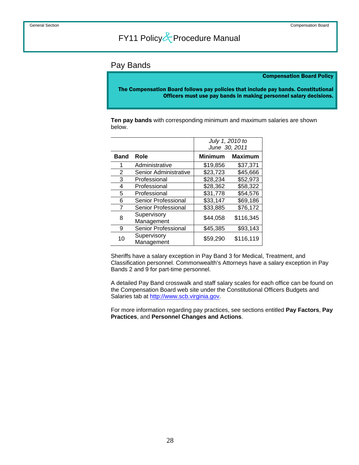### <span id="page-34-0"></span>Pay Bands

#### Compensation Board Policy

The Compensation Board follows pay policies that include pay bands. Constitutional Officers must use pay bands in making personnel salary decisions.

 **Ten pay bands** with corresponding minimum and maximum salaries are shown below.

|             |                            | July 1, 2010 to<br>June 30, 2011 |                |
|-------------|----------------------------|----------------------------------|----------------|
| <b>Band</b> | Role                       | <b>Minimum</b>                   | <b>Maximum</b> |
| 1           | Administrative             | \$19,856                         | \$37,371       |
| 2           | Senior Administrative      | \$23,723                         | \$45,666       |
| 3           | Professional               | \$28,234                         | \$52,973       |
| 4           | Professional               | \$28,362                         | \$58,322       |
| 5           | Professional               | \$31,778                         | \$54,576       |
| 6           | <b>Senior Professional</b> | \$33,147                         | \$69,186       |
| 7           | <b>Senior Professional</b> | \$33,885                         | \$76,172       |
| 8           | Supervisory<br>Management  | \$44,058                         | \$116,345      |
| 9           | Senior Professional        | \$45,385                         | \$93,143       |
| 10          | Supervisory<br>Management  | \$59,290                         | \$116,119      |

Sheriffs have a salary exception in Pay Band 3 for Medical, Treatment, and Classification personnel. Commonwealth's Attorneys have a salary exception in Pay Bands 2 and 9 for part-time personnel.

A detailed Pay Band crosswalk and staff salary scales for each office can be found on the Compensation Board web site under the Constitutional Officers Budgets and Salaries tab at [http://www.scb.virginia.gov](http://www.scb.virginia.gov/).

For more information regarding pay practices, see sections entitled **Pay Factors**, **Pay Practices**, and **Personnel Changes and Actions**.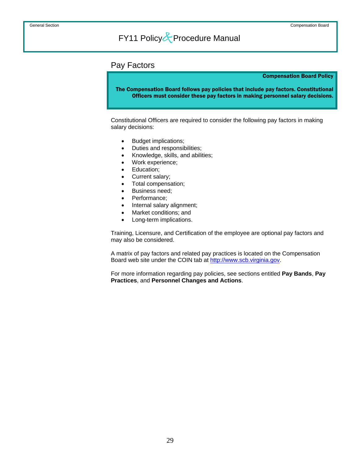### <span id="page-35-0"></span>Pay Factors

#### Compensation Board Policy

The Compensation Board follows pay policies that include pay factors. Constitutional Officers must consider these pay factors in making personnel salary decisions.

 Constitutional Officers are required to consider the following pay factors in making salary decisions:

- Budget implications;
- Duties and responsibilities;
- Knowledge, skills, and abilities;
- Work experience;
- Education;
- Current salary;
- Total compensation;
- Business need;
- Performance;
- Internal salary alignment;
- Market conditions; and
- Long-term implications.

Training, Licensure, and Certification of the employee are optional pay factors and may also be considered.

A matrix of pay factors and related pay practices is located on the Compensation Board web site under the COIN tab at [http://www.scb.virginia.gov](http://www.scb.virginia.gov/).

For more information regarding pay policies, see sections entitled **Pay Bands**, **Pay Practices**, and **Personnel Changes and Actions**.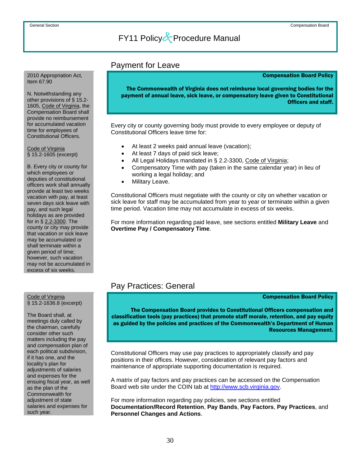### Payment for Leave

#### Compensation Board Policy

The Commonwealth of Virginia does not reimburse local governing bodies for the payment of annual leave, sick leave, or compensatory leave given to Constitutional Officers and staff.

Every city or county governing body must provide to every employee or deputy of Constitutional Officers leave time for:

- At least 2 weeks paid annual leave (vacation);
- At least 7 days of paid sick leave;
- All Legal Holidays mandated in § 2.2-3300, Code of Virginia;
- Compensatory Time with pay (taken in the same calendar year) in lieu of working a legal holiday; and
- Military Leave.

Constitutional Officers must negotiate with the county or city on whether vacation or sick leave for staff may be accumulated from year to year or terminate within a given time period. Vacation time may not accumulate in excess of six weeks.

For more information regarding paid leave, see sections entitled **Military Leave** and **Overtime Pay / Compensatory Time**.

### Pay Practices: General

#### Compensation Board Policy

The Compensation Board provides to Constitutional Officers compensation and classification tools (pay practices) that promote staff morale, retention, and pay equity as guided by the policies and practices of the Commonwealth's Department of Human Resources Management.

Constitutional Officers may use pay practices to appropriately classify and pay positions in their offices. However, consideration of relevant pay factors and maintenance of appropriate supporting documentation is required.

A matrix of pay factors and pay practices can be accessed on the Compensation Board web site under the COIN tab at [http://www.scb.virginia.gov](http://www.scb.virginia.gov/).

For more information regarding pay policies, see sections entitled **Documentation/Record Retention**, **Pay Bands**, **Pay Factors**, **Pay Practices**, and **Personnel Changes and Actions**.

<span id="page-36-0"></span>2010 Appropriation Act, Item 67.90

N. Notwithstanding any other provisions of § 15.2- 1605, Code of Virginia, the Compensation Board shall provide no reimbursement for accumulated vacation time for employees of Constitutional Officers.

Code of Virginia § 15.2-1605 (excerpt)

B. Every city or county for which employees or deputies of constitutional officers work shall annually provide at least two weeks vacation with pay, at least seven days sick leave with pay, and such legal holidays as are provided for in § 2.2-3300. The county or city may provide that vacation or sick leave may be accumulated or shall terminate within a given period of time; however, such vacation may not be accumulated in excess of six weeks.

## Code of Virginia<br>§ 15.2-1636.8 (excerpt)

The Board shall, at meetings duly called by the chairman, carefully consider other such matters including the pay and compensation plan of each political subdivision, if it has one, and the locality's plan for adjustments of salaries and expenses for the ensuing fiscal year, as well as the plan of the Commonwealth for adiustment of state salaries and expenses for such year.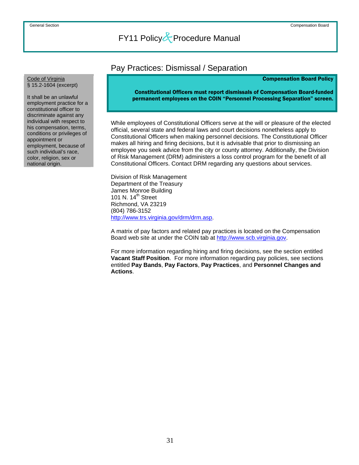### Pay Practices: Dismissal / Separation

#### Compensation Board Policy

Constitutional Officers must report dismissals of Compensation Board-funded permanent employees on the COIN "Personnel Processing Separation" screen.

 While employees of Constitutional Officers serve at the will or pleasure of the elected official, several state and federal laws and court decisions nonetheless apply to Constitutional Officers when making personnel decisions. The Constitutional Officer makes all hiring and firing decisions, but it is advisable that prior to dismissing an employee you seek advice from the city or county attorney. Additionally, the Division of Risk Management (DRM) administers a loss control program for the benefit of all Constitutional Officers. Contact DRM regarding any questions about services.

 Division of Risk Management Department of the Treasury James Monroe Building 101 N. 14<sup>th</sup> Street Richmond, VA 23219 (804) 786-3152 <http://www.trs.virginia.gov/drm/drm.asp>.

A matrix of pay factors and related pay practices is located on the Compensation Board web site at under the COIN tab at [http://www.scb.virginia.gov](http://www.scb.virginia.gov/).

For more information regarding hiring and firing decisions, see the section entitled **Vacant Staff Position**. For more information regarding pay policies, see sections entitled **Pay Bands**, **Pay Factors**, **Pay Practices**, and **Personnel Changes and Actions**.

## <span id="page-37-0"></span>Code of Virginia<br>§ 15.2-1604 (excerpt)

It shall be an unlawful employment practice for a constitutional officer to discriminate against any individual with respect to his compensation, terms, conditions or privileges of appointment or employment, because of such individual's race, color, religion, sex or national origin.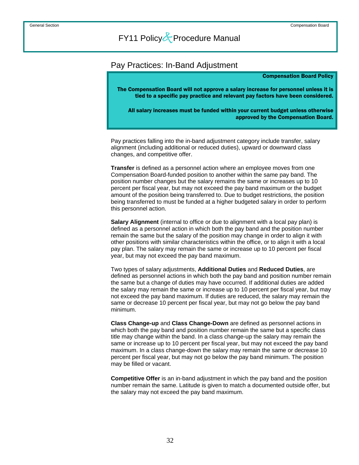### <span id="page-38-0"></span>Pay Practices: In-Band Adjustment

#### Compensation Board Policy

The Compensation Board will not approve a salary increase for personnel unless it is tied to a specific pay practice and relevant pay factors have been considered.

All salary increases must be funded within your current budget unless otherwise approved by the Compensation Board.

 Pay practices falling into the in-band adjustment category include transfer, salary alignment (including additional or reduced duties), upward or downward class changes, and competitive offer.

**Transfer** is defined as a personnel action where an employee moves from one Compensation Board-funded position to another within the same pay band. The position number changes but the salary remains the same or increases up to 10 percent per fiscal year, but may not exceed the pay band maximum or the budget amount of the position being transferred to. Due to budget restrictions, the position being transferred to must be funded at a higher budgeted salary in order to perform this personnel action.

**Salary Alignment** (internal to office or due to alignment with a local pay plan) is defined as a personnel action in which both the pay band and the position number remain the same but the salary of the position may change in order to align it with other positions with similar characteristics within the office, or to align it with a local pay plan. The salary may remain the same or increase up to 10 percent per fiscal year, but may not exceed the pay band maximum.

Two types of salary adjustments, **Additional Duties** and **Reduced Duties**, are defined as personnel actions in which both the pay band and position number remain the same but a change of duties may have occurred. If additional duties are added the salary may remain the same or increase up to 10 percent per fiscal year, but may not exceed the pay band maximum. If duties are reduced, the salary may remain the same or decrease 10 percent per fiscal year, but may not go below the pay band minimum.

**Class Change-up** and **Class Change-Down** are defined as personnel actions in which both the pay band and position number remain the same but a specific class title may change within the band. In a class change-up the salary may remain the same or increase up to 10 percent per fiscal year, but may not exceed the pay band maximum. In a class change-down the salary may remain the same or decrease 10 percent per fiscal year, but may not go below the pay band minimum. The position may be filled or vacant.

**Competitive Offer** is an in-band adjustment in which the pay band and the position number remain the same. Latitude is given to match a documented outside offer, but the salary may not exceed the pay band maximum.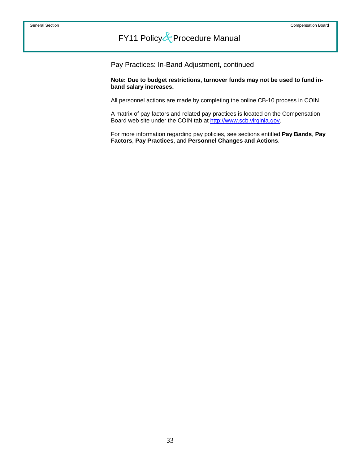Pay Practices: In-Band Adjustment, continued

 **Note: Due to budget restrictions, turnover funds may not be used to fund inband salary increases.** 

All personnel actions are made by completing the online CB-10 process in COIN.

A matrix of pay factors and related pay practices is located on the Compensation Board web site under the COIN tab at [http://www.scb.virginia.gov](http://www.scb.virginia.gov/).

For more information regarding pay policies, see sections entitled **Pay Bands**, **Pay Factors**, **Pay Practices**, and **Personnel Changes and Actions**.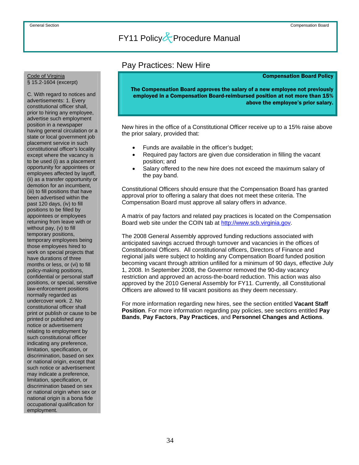### Pay Practices: New Hire

#### Compensation Board Policy

The Compensation Board approves the salary of a new employee not previously employed in a Compensation Board-reimbursed position at not more than 15% above the employee's prior salary.

 New hires in the office of a Constitutional Officer receive up to a 15% raise above the prior salary, provided that:

- Funds are available in the officer's budget;
- Required pay factors are given due consideration in filling the vacant position; and
- Salary offered to the new hire does not exceed the maximum salary of the pay band.

Constitutional Officers should ensure that the Compensation Board has granted approval prior to offering a salary that does not meet these criteria. The Compensation Board must approve all salary offers in advance.

A matrix of pay factors and related pay practices is located on the Compensation Board web site under the COIN tab at [http://www.scb.virginia.gov.](http://www.scb.virginia.gov/)

The 2008 General Assembly approved funding reductions associated with anticipated savings accrued through turnover and vacancies in the offices of Constitutional Officers. All constitutional officers, Directors of Finance and regional jails were subject to holding any Compensation Board funded position becoming vacant through attrition unfilled for a minimum of 90 days, effective July 1, 2008. In September 2008, the Governor removed the 90-day vacancy restriction and approved an across-the-board reduction. This action was also approved by the 2010 General Assembly for FY11. Currently, all Constitutional Officers are allowed to fill vacant positions as they deem necessary.

For more information regarding new hires, see the section entitled **Vacant Staff Position**. For more information regarding pay policies, see sections entitled **Pay Bands**, **Pay Factors**, **Pay Practices**, and **Personnel Changes and Actions**.

#### <span id="page-40-0"></span>Code of Virginia § 15.2-1604 (excerpt)

C. With regard to notices and advertisements: 1. Every constitutional officer shall, prior to hiring any employee, advertise such employment position in a newspaper having general circulation or a state or local government job placement service in such constitutional officer's locality except where the vacancy is to be used (i) as a placement opportunity for appointees or employees affected by layoff, (ii) as a transfer opportunity or demotion for an incumbent, (iii) to fill positions that have been advertised within the past 120 days, (iv) to fill positions to be filled by appointees or employees returning from leave with or without pay, (v) to fill temporary positions, temporary employees being those employees hired to work on special projects that have durations of three months or less, or (vi) to fill policy-making positions, confidential or personal staff positions, or special, sensitive law-enforcement positions normally regarded as undercover work. 2. No constitutional officer shall print or publish or cause to be printed or published any notice or advertisement relating to employment by such constitutional officer indicating any preference, limitation, specification, or discrimination, based on sex or national origin, except that such notice or advertisement may indicate a preference, limitation, specification, or discrimination based on sex or national origin when sex or national origin is a bona fide occupational qualification for employment.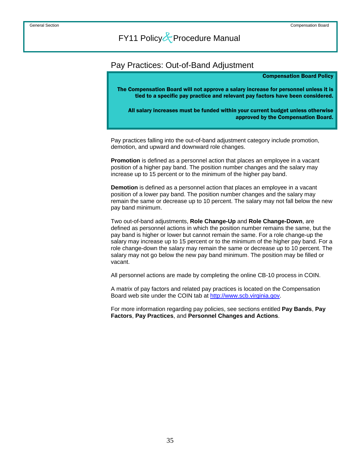### <span id="page-41-0"></span>Pay Practices: Out-of-Band Adjustment

#### Compensation Board Policy

The Compensation Board will not approve a salary increase for personnel unless it is tied to a specific pay practice and relevant pay factors have been considered.

All salary increases must be funded within your current budget unless otherwise approved by the Compensation Board.

 Pay practices falling into the out-of-band adjustment category include promotion, demotion, and upward and downward role changes.

**Promotion** is defined as a personnel action that places an employee in a vacant position of a higher pay band. The position number changes and the salary may increase up to 15 percent or to the minimum of the higher pay band.

**Demotion** is defined as a personnel action that places an employee in a vacant position of a lower pay band. The position number changes and the salary may remain the same or decrease up to 10 percent. The salary may not fall below the new pay band minimum.

Two out-of-band adjustments, **Role Change-Up** and **Role Change-Down**, are defined as personnel actions in which the position number remains the same, but the pay band is higher or lower but cannot remain the same. For a role change-up the salary may increase up to 15 percent or to the minimum of the higher pay band. For a role change-down the salary may remain the same or decrease up to 10 percent. The salary may not go below the new pay band minimum. The position may be filled or vacant.

All personnel actions are made by completing the online CB-10 process in COIN.

A matrix of pay factors and related pay practices is located on the Compensation Board web site under the COIN tab at [http://www.scb.virginia.gov](http://www.scb.virginia.gov/).

For more information regarding pay policies, see sections entitled **Pay Bands**, **Pay Factors**, **Pay Practices**, and **Personnel Changes and Actions**.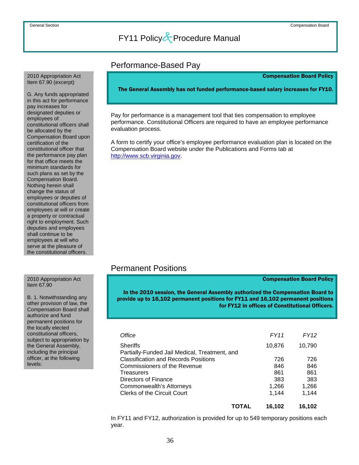### Performance-Based Pay

Compensation Board Policy

The General Assembly has not funded performance-based salary increases for FY10.

 Pay for performance is a management tool that ties compensation to employee performance. Constitutional Officers are required to have an employee performance evaluation process.

A form to certify your office's employee performance evaluation plan is located on the Compensation Board website under the Publications and Forms tab at [http://www.scb.virginia.gov.](http://www.scb.virginia.gov/)

### Permanent Positions

#### Compensation Board Policy

In the 2010 session, the General Assembly authorized the Compensation Board to provide up to 16,102 permanent positions for FY11 and 16,102 permanent positions for FY12 in offices of Constitutional Officers.

|                             | <b>TOTAL</b>                                  | 16.102 | 16.102 |  |
|-----------------------------|-----------------------------------------------|--------|--------|--|
|                             | <b>Clerks of the Circuit Court</b>            | 1,144  | 1,144  |  |
|                             | Commonwealth's Attorneys                      | 1,266  | 1,266  |  |
|                             | Directors of Finance                          | 383    | 383    |  |
|                             | Treasurers                                    | 861    | 861    |  |
|                             | Commissioners of the Revenue                  | 846    | 846    |  |
| following                   | <b>Classification and Records Positions</b>   | 726    | 726    |  |
| principal                   | Partially-Funded Jail Medical, Treatment, and |        |        |  |
| propriation by<br>,ssembly، | <b>Sheriffs</b>                               | 10,876 | 10,790 |  |
| officers.                   | Office                                        | FY11   | FY12   |  |
| uuu                         |                                               |        |        |  |

 In FY11 and FY12, authorization is provided for up to 549 temporary positions each year.

#### <span id="page-42-0"></span> 2010 Appropriation Act Item 67.90 (excerpt)

G. Any funds appropriated in this act for performance pay increases for designated deputies or employees of constitutional officers shall be allocated by the Compensation Board upon certification of the constitutional officer that the performance pay plan for that office meets the minimum standards for such plans as set by the Compensation Board. Nothing herein shall change the status of employees or deputies of constitutional officers from employees at will or create a property or contractual right to employment. Such deputies and employees shall continue to be employees at will who serve at the pleasure of the constitutional officers.

#### 2010 Appropriation Act Item 67.90

B. 1. Notwithstanding any other provision of law, the Compensation Board shall authorize and fund permanent positions for the locally elected constitutional officers, subject to appropriation by the General Assembly, including the principal officer, at the following levels: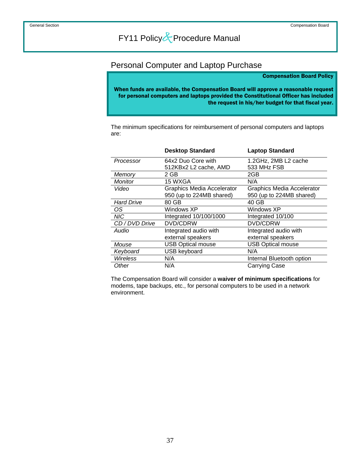### <span id="page-43-0"></span>Personal Computer and Laptop Purchase

#### Compensation Board Policy

When funds are available, the Compensation Board will approve a reasonable request for personal computers and laptops provided the Constitutional Officer has included the request in his/her budget for that fiscal year.

 The minimum specifications for reimbursement of personal computers and laptops are:

|                   | <b>Desktop Standard</b>           | <b>Laptop Standard</b>            |
|-------------------|-----------------------------------|-----------------------------------|
| Processor         | 64x2 Duo Core with                | 1.2GHz, 2MB L2 cache              |
|                   | 512KBx2 L2 cache, AMD             | 533 MHz FSB                       |
| Memory            | 2 GB                              | 2GB                               |
| Monitor           | 15 WXGA                           | N/A                               |
| Video             | <b>Graphics Media Accelerator</b> | <b>Graphics Media Accelerator</b> |
|                   | 950 (up to 224MB shared)          | 950 (up to 224MB shared)          |
| <b>Hard Drive</b> | 80 GB                             | 40 GB                             |
| OS                | Windows XP                        | Windows XP                        |
| <b>NIC</b>        | Integrated 10/100/1000            | Integrated 10/100                 |
| CD / DVD Drive    | DVD/CDRW                          | DVD/CDRW                          |
| Audio             | Integrated audio with             | Integrated audio with             |
|                   | external speakers                 | external speakers                 |
| Mouse             | <b>USB Optical mouse</b>          | <b>USB Optical mouse</b>          |
| Keyboard          | <b>USB keyboard</b>               | N/A                               |
| Wireless          | N/A                               | Internal Bluetooth option         |
| Other             | N/A                               | <b>Carrying Case</b>              |

 The Compensation Board will consider a **waiver of minimum specifications** for modems, tape backups, etc., for personal computers to be used in a network environment.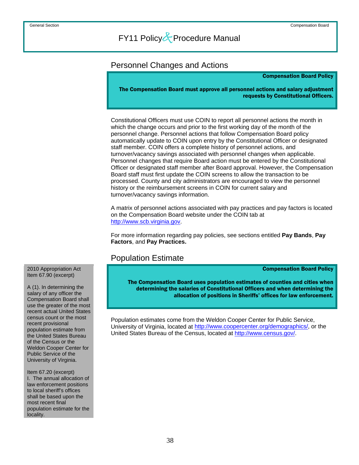### <span id="page-44-0"></span>Personnel Changes and Actions

#### Compensation Board Policy

The Compensation Board must approve all personnel actions and salary adjustment requests by Constitutional Officers.

 Constitutional Officers must use COIN to report all personnel actions the month in which the change occurs and prior to the first working day of the month of the personnel change. Personnel actions that follow Compensation Board policy automatically update to COIN upon entry by the Constitutional Officer or designated staff member. COIN offers a complete history of personnel actions, and turnover/vacancy savings associated with personnel changes when applicable. Personnel changes that require Board action must be entered by the Constitutional Officer or designated staff member after Board approval. However, the Compensation Board staff must first update the COIN screens to allow the transaction to be processed. County and city administrators are encouraged to view the personnel history or the reimbursement screens in COIN for current salary and turnover/vacancy savings information.

A matrix of personnel actions associated with pay practices and pay factors is located on the Compensation Board website under the COIN tab at [http://www.scb.virginia.gov.](http://www.scb.virginia.gov/)

For more information regarding pay policies, see sections entitled **Pay Bands**, **Pay Factors**, and **Pay Practices.**

### Population Estimate

Compensation Board Policy

The Compensation Board uses population estimates of counties and cities when determining the salaries of Constitutional Officers and when determining the allocation of positions in Sheriffs' offices for law enforcement.

 Population estimates come from the Weldon Cooper Center for Public Service, University of Virginia, located at [http://www.coopercenter.org/demographics/,](http://www.coopercenter.org/demographics/) or the United States Bureau of the Census, located at<http://www.census.gov/>.

 2010 Appropriation Act Item 67.90 (excerpt)

A (1). In determining the salary of any officer the Compensation Board shall use the greater of the most recent actual United States census count or the most recent provisional population estimate from the United States Bureau of the Census or the Weldon Cooper Center for Public Service of the University of Virginia.

Item 67.20 (excerpt) I. The annual allocation of law enforcement positions to local sheriff's offices shall be based upon the most recent final population estimate for the locality.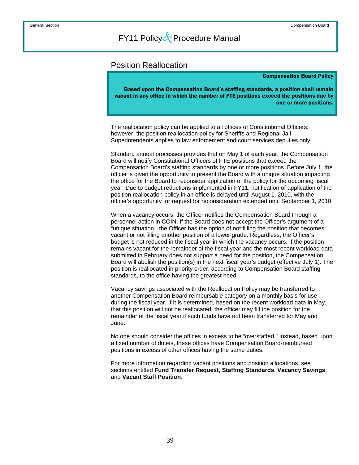### <span id="page-45-0"></span>Position Reallocation

#### Compensation Board Policy

Based upon the Compensation Board's staffing standards, a position shall remain vacant in any office in which the number of FTE positions exceed the positions due by one or more positions.

 The reallocation policy can be applied to all offices of Constitutional Officers; however, the position reallocation policy for Sheriffs and Regional Jail Superintendents applies to law enforcement and court services deputies only.

Standard annual processes provides that on May 1 of each year, the Compensation Board will notify Constitutional Officers of FTE positions that exceed the Compensation Board's staffing standards by one or more positions. Before July 1, the officer is given the opportunity to present the Board with a unique situation impacting the office for the Board to reconsider application of the policy for the upcoming fiscal year. Due to budget reductions implemented in FY11, notification of application of the position reallocation policy in an office is delayed until August 1, 2010, with the officer's opportunity for request for reconsideration extended until September 1, 2010.

When a vacancy occurs, the Officer notifies the Compensation Board through a personnel action in COIN. If the Board does not accept the Officer's argument of a "unique situation," the Officer has the option of not filling the position that becomes vacant or not filling another position of a lower grade. Regardless, the Officer's budget is not reduced in the fiscal year in which the vacancy occurs. If the position remains vacant for the remainder of the fiscal year and the most recent workload data submitted in February does not support a need for the position, the Compensation Board will abolish the position(s) in the next fiscal year's budget (effective July 1). The position is reallocated in priority order, according to Compensation Board staffing standards, to the office having the greatest need.

Vacancy savings associated with the Reallocation Policy may be transferred to another Compensation Board reimbursable category on a monthly basis for use during the fiscal year. If it is determined, based on the recent workload data in May, that this position will not be reallocated, the officer may fill the position for the remainder of the fiscal year if such funds have not been transferred for May and June.

No one should consider the offices in excess to be "overstaffed." Instead, based upon a fixed number of duties, these offices have Compensation Board-reimbursed positions in excess of other offices having the same duties.

For more information regarding vacant positions and position allocations, see sections entitled **Fund Transfer Request**, **Staffing Standards**, **Vacancy Savings**, and **Vacant Staff Position**.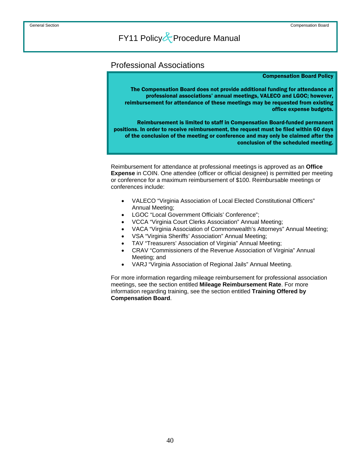### <span id="page-46-0"></span>Professional Associations

#### Compensation Board Policy

The Compensation Board does not provide additional funding for attendance at professional associations' annual meetings, VALECO and LGOC; however, reimbursement for attendance of these meetings may be requested from existing office expense budgets.

Reimbursement is limited to staff in Compensation Board-funded permanent positions. In order to receive reimbursement, the request must be filed within 60 days of the conclusion of the meeting or conference and may only be claimed after the conclusion of the scheduled meeting.

 Reimbursement for attendance at professional meetings is approved as an **Office Expense** in COIN. One attendee (officer or official designee) is permitted per meeting or conference for a maximum reimbursement of \$100. Reimbursable meetings or conferences include:

- VALECO "Virginia Association of Local Elected Constitutional Officers" Annual Meeting;
- LGOC "Local Government Officials' Conference";
- VCCA "Virginia Court Clerks Association" Annual Meeting;
- VACA "Virginia Association of Commonwealth's Attorneys" Annual Meeting;
- VSA "Virginia Sheriffs' Association" Annual Meeting;
- TAV "Treasurers' Association of Virginia" Annual Meeting;
- CRAV "Commissioners of the Revenue Association of Virginia" Annual Meeting; and
- VARJ "Virginia Association of Regional Jails" Annual Meeting.

For more information regarding mileage reimbursement for professional association meetings, see the section entitled **Mileage Reimbursement Rate**. For more information regarding training, see the section entitled **Training Offered by Compensation Board**.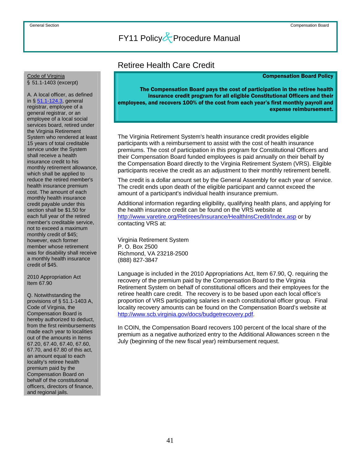### Retiree Health Care Credit

#### Compensation Board Policy

<span id="page-47-0"></span>Code of Virginia § 51.1-1403 (excerpt)

A. A local officer, as defined in § 51.1-124.3, general registrar, employee of a general registrar, or an employee of a local social services board, retired under the Virginia Retirement System who rendered at least 15 years of total creditable service under the System shall receive a health insurance credit to his monthly retirement allowance, which shall be applied to reduce the retired member's health insurance premium cost. The amount of each monthly health insurance credit payable under this section shall be \$1.50 for each full year of the retired member's creditable service, not to exceed a maximum monthly credit of \$45; however, each former member whose retirement was for disability shall receive a monthly health insurance credit of \$45.

2010 Appropriation Act Item 67.90

Q. Notwithstanding the provisions of § 51.1-1403 A, Code of Virginia, the Compensation Board is hereby authorized to deduct, from the first reimbursements made each year to localities out of the amounts in Items 67.20, 67.40, 67.40, 67.60, 67.70, and 67.80 of this act, an amount equal to each locality's retiree health premium paid by the Compensation Board on behalf of the constitutional officers, directors of finance, and regional jails.

The Compensation Board pays the cost of participation in the retiree health insurance credit program for all eligible Constitutional Officers and their employees, and recovers 100% of the cost from each year's first monthly payroll and expense reimbursement.

 The Virginia Retirement System's health insurance credit provides eligible participants with a reimbursement to assist with the cost of health insurance premiums. The cost of participation in this program for Constitutional Officers and their Compensation Board funded employees is paid annually on their behalf by the Compensation Board directly to the Virginia Retirement System (VRS). Eligible participants receive the credit as an adjustment to their monthly retirement benefit.

The credit is a dollar amount set by the General Assembly for each year of service. The credit ends upon death of the eligible participant and cannot exceed the amount of a participant's individual health insurance premium.

Additional information regarding eligibility, qualifying health plans, and applying for the health insurance credit can be found on the VRS website at <http://www.varetire.org/Retirees/Insurance/HealthInsCredit/Index.asp>or by contacting VRS at:

Virginia Retirement System P. O. Box 2500 Richmond, VA 23218-2500 (888) 827-3847

Language is included in the 2010 Appropriations Act, Item 67.90, Q. requiring the recovery of the premium paid by the Compensation Board to the Virginia Retirement System on behalf of constitutional officers and their employees for the retiree health care credit. The recovery is to be based upon each local office's proportion of VRS participating salaries in each constitutional officer group. Final locality recovery amounts can be found on the Compensation Board's website at [http://www.scb.virginia.gov/docs/budgetrecovery.pdf.](http://www.scb.virginia.gov/docs/budgetrecovery.pdf)

In COIN, the Compensation Board recovers 100 percent of the local share of the premium as a negative authorized entry to the Additional Allowances screen n the July (beginning of the new fiscal year) reimbursement request.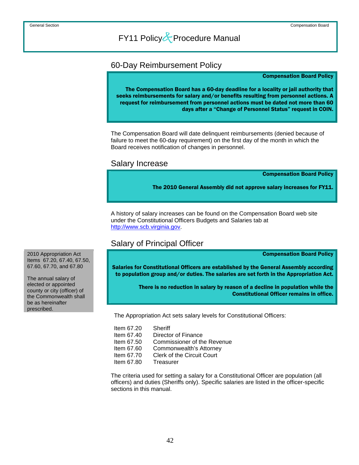### <span id="page-48-0"></span>60-Day Reimbursement Policy

#### Compensation Board Policy

The Compensation Board has a 60-day deadline for a locality or jail authority that seeks reimbursements for salary and/or benefits resulting from personnel actions. A request for reimbursement from personnel actions must be dated not more than 60 days after a "Change of Personnel Status" request in COIN.

 The Compensation Board will date delinquent reimbursements (denied because of failure to meet the 60-day requirement) on the first day of the month in which the Board receives notification of changes in personnel.

### Salary Increase

Compensation Board Policy

The 2010 General Assembly did not approve salary increases for FY11.

 A history of salary increases can be found on the Compensation Board web site under the Constitutional Officers Budgets and Salaries tab at [http://www.scb.virginia.gov.](http://www.scb.virginia.gov/)

### Salary of Principal Officer

Compensation Board Policy

Salaries for Constitutional Officers are established by the General Assembly according to population group and/or duties. The salaries are set forth in the Appropriation Act.

> There is no reduction in salary by reason of a decline in population while the Constitutional Officer remains in office.

The Appropriation Act sets salary levels for Constitutional Officers:

| Item 67.20 | Sheriff                            |
|------------|------------------------------------|
| Item 67.40 | Director of Finance                |
| Item 67.50 | <b>Commissioner of the Revenue</b> |
| Item 67.60 | Commonwealth's Attorney            |
| Item 67.70 | <b>Clerk of the Circuit Court</b>  |
| Item 67.80 | Treasurer                          |

The criteria used for setting a salary for a Constitutional Officer are population (all officers) and duties (Sheriffs only). Specific salaries are listed in the officer-specific sections in this manual.

2010 Appropriation Act Items 67.20, 67.40, 67.50, 67.60, 67.70, and 67.80

The annual salary of elected or appointed county or city (officer) of the Commonwealth shall be as hereinafter prescribed.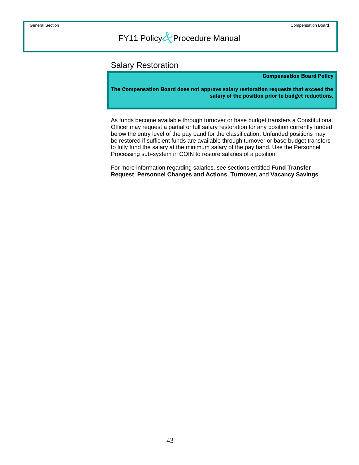### <span id="page-49-0"></span>Salary Restoration

#### Compensation Board Policy

The Compensation Board does not approve salary restoration requests that exceed the salary of the position prior to budget reductions.

 As funds become available through turnover or base budget transfers a Constitutional Officer may request a partial or full salary restoration for any position currently funded below the entry level of the pay band for the classification. Unfunded positions may be restored if sufficient funds are available through turnover or base budget transfers to fully fund the salary at the minimum salary of the pay band. Use the Personnel Processing sub-system in COIN to restore salaries of a position.

For more information regarding salaries, see sections entitled **Fund Transfer Request**, **Personnel Changes and Actions**, **Turnover,** and **Vacancy Savings**.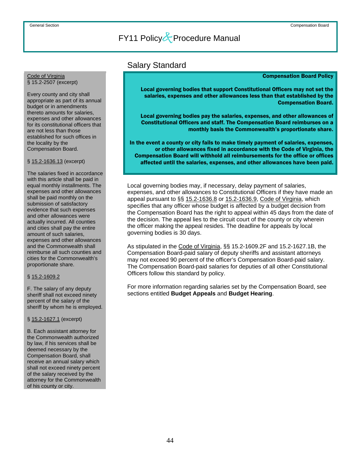### Salary Standard

#### Compensation Board Policy

Local governing bodies that support Constitutional Officers may not set the salaries, expenses and other allowances less than that established by the Compensation Board.

Local governing bodies pay the salaries, expenses, and other allowances of Constitutional Officers and staff. The Compensation Board reimburses on a monthly basis the Commonwealth's proportionate share.

In the event a county or city fails to make timely payment of salaries, expenses, or other allowances fixed in accordance with the Code of Virginia, the Compensation Board will withhold all reimbursements for the office or offices affected until the salaries, expenses, and other allowances have been paid.

 Local governing bodies may, if necessary, delay payment of salaries, expenses, and other allowances to Constitutional Officers if they have made an appeal pursuant to §§ 15.2-1636.8 or 15.2-1636.9, Code of Virginia, which specifies that any officer whose budget is affected by a budget decision from the Compensation Board has the right to appeal within 45 days from the date of the decision. The appeal lies to the circuit court of the county or city wherein the officer making the appeal resides. The deadline for appeals by local governing bodies is 30 days.

As stipulated in the Code of Virginia, §§ 15.2-1609.2F and 15.2-1627.1B, the Compensation Board-paid salary of deputy sheriffs and assistant attorneys may not exceed 90 percent of the officer's Compensation Board-paid salary. The Compensation Board-paid salaries for deputies of all other Constitutional Officers follow this standard by policy.

For more information regarding salaries set by the Compensation Board, see sections entitled **Budget Appeals** and **Budget Hearing**.

## <span id="page-50-0"></span>Code of Virginia<br>§ 15.2-2507 (excerpt)

Every county and city shall appropriate as part of its annual budget or in amendments thereto amounts for salaries, expenses and other allowances for its constitutional officers that are not less than those established for such offices in the locality by the Compensation Board.

### § 15.2-1636.13 (excerpt)

The salaries fixed in accordance with this article shall be paid in equal monthly installments. The expenses and other allowances shall be paid monthly on the submission of satisfactory evidence that such expenses and other allowances were actually incurred. All counties and cities shall pay the entire amount of such salaries, expenses and other allowances and the Commonwealth shall reimburse all such counties and cities for the Commonwealth's proportionate share.

### § 15.2-1609.2

F. The salary of any deputy sheriff shall not exceed ninety percent of the salary of the sheriff by whom he is employed.

#### § 15.2-1627.1 (excerpt)

B. Each assistant attorney for the Commonwealth authorized by law, if his services shall be deemed necessary by the Compensation Board, shall receive an annual salary which shall not exceed ninety percent of the salary received by the attorney for the Commonwealth of his county or city.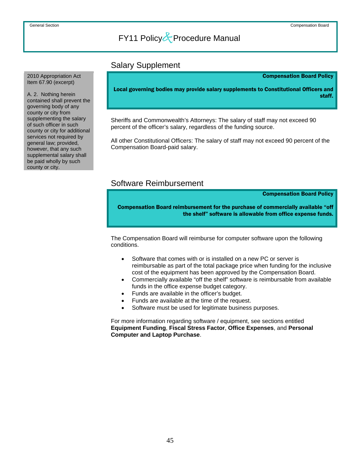### Salary Supplement

Compensation Board Policy

Local governing bodies may provide salary supplements to Constitutional Officers and staff.

 Sheriffs and Commonwealth's Attorneys: The salary of staff may not exceed 90 percent of the officer's salary, regardless of the funding source.

All other Constitutional Officers: The salary of staff may not exceed 90 percent of the Compensation Board-paid salary.

### Software Reimbursement

Compensation Board Policy

Compensation Board reimbursement for the purchase of commercially available "off the shelf" software is allowable from office expense funds.

 The Compensation Board will reimburse for computer software upon the following conditions.

- Software that comes with or is installed on a new PC or server is reimbursable as part of the total package price when funding for the inclusive cost of the equipment has been approved by the Compensation Board.
- Commercially available "off the shelf" software is reimbursable from available funds in the office expense budget category.
- Funds are available in the officer's budget.
- Funds are available at the time of the request.
- Software must be used for legitimate business purposes.

For more information regarding software / equipment, see sections entitled **Equipment Funding**, **Fiscal Stress Factor**, **Office Expenses**, and **Personal Computer and Laptop Purchase**.

<span id="page-51-0"></span> 2010 Appropriation Act Item 67.90 (excerpt)

A. 2. Nothing herein contained shall prevent the governing body of any county or city from supplementing the salary of such officer in such county or city for additional services not required by general law; provided, however, that any such supplemental salary shall be paid wholly by such county or city.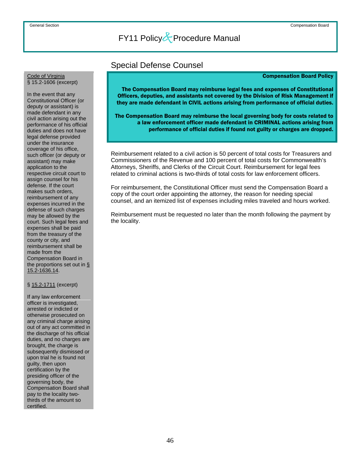### Special Defense Counsel

#### Compensation Board Policy

The Compensation Board may reimburse legal fees and expenses of Constitutional Officers, deputies, and assistants not covered by the Division of Risk Management if they are made defendant in CIVIL actions arising from performance of official duties.

The Compensation Board may reimburse the local governing body for costs related to a law enforcement officer made defendant in CRIMINAL actions arising from performance of official duties if found not guilty or charges are dropped.

 Reimbursement related to a civil action is 50 percent of total costs for Treasurers and Commissioners of the Revenue and 100 percent of total costs for Commonwealth's Attorneys, Sheriffs, and Clerks of the Circuit Court. Reimbursement for legal fees related to criminal actions is two-thirds of total costs for law enforcement officers.

For reimbursement, the Constitutional Officer must send the Compensation Board a copy of the court order appointing the attorney, the reason for needing special counsel, and an itemized list of expenses including miles traveled and hours worked.

Reimbursement must be requested no later than the month following the payment by the locality.

## <span id="page-52-0"></span>Code of Virginia<br>§ 15.2-1606 (excerpt)

In the event that any Constitutional Officer (or deputy or assistant) is made defendant in any civil action arising out the performance of his official duties and does not have legal defense provided under the insurance coverage of his office, such officer (or deputy or assistant) may make application to the respective circuit court to assign counsel for his defense. If the court makes such orders, reimbursement of any expenses incurred in the defense of such charges may be allowed by the court. Such legal fees and expenses shall be paid from the treasury of the county or city, and reimbursement shall be made from the Compensation Board in the proportions set out in § 15.2-1636.14.

### § 15.2-1711 (excerpt)

If any law enforcement officer is investigated, arrested or indicted or otherwise prosecuted on any criminal charge arising out of any act committed in the discharge of his official duties, and no charges are brought, the charge is subsequently dismissed or upon trial he is found not guilty, then upon certification by the presiding officer of the governing body, the Compensation Board shall pay to the locality twothirds of the amount so certified.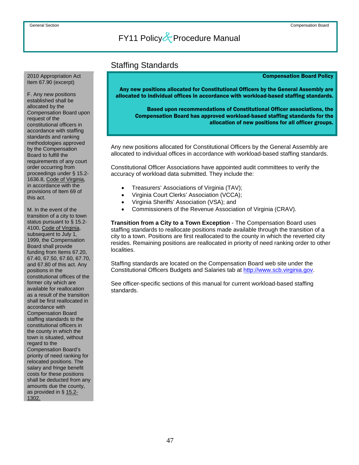### Staffing Standards

#### Compensation Board Policy

Any new positions allocated for Constitutional Officers by the General Assembly are allocated to individual offices in accordance with workload-based staffing standards.

Based upon recommendations of Constitutional Officer associations, the Compensation Board has approved workload-based staffing standards for the allocation of new positions for all officer groups.

 Any new positions allocated for Constitutional Officers by the General Assembly are allocated to individual offices in accordance with workload-based staffing standards.

Constitutional Officer Associations have appointed audit committees to verify the accuracy of workload data submitted. They include the:

- Treasurers' Associations of Virginia (TAV);
- Virginia Court Clerks' Association (VCCA);
- Virginia Sheriffs' Association (VSA); and
- Commissioners of the Revenue Association of Virginia (CRAV).

**Transition from a City to a Town Exception** - The Compensation Board uses staffing standards to reallocate positions made available through the transition of a city to a town. Positions are first reallocated to the county in which the reverted city resides. Remaining positions are reallocated in priority of need ranking order to other localities.

Staffing standards are located on the Compensation Board web site under the Constitutional Officers Budgets and Salaries tab at [http://www.scb.virginia.gov.](http://www.scb.virginia.gov/)

See officer-specific sections of this manual for current workload-based staffing standards.

#### <span id="page-53-0"></span> 2010 Appropriation Act Item 67.90 (excerpt)

F. Any new positions established shall be allocated by the Compensation Board upon request of the constitutional officers in accordance with staffing standards and ranking methodologies approved by the Compensation Board to fulfill the requirements of any court order occurring from proceedings under § 15.2- 1636.8, Code of Virginia, in accordance with the provisions of Item 69 of this act.

M. In the event of the transition of a city to town status pursuant to § 15.2- 4100, Code of Virginia, subsequent to July 1, 1999, the Compensation Board shall provide funding from Items 67.20, 67.40, 67.50, 67.60, 67.70, and 67.80 of this act. Any positions in the constitutional offices of the former city which are available for reallocation as a result of the transition shall be first reallocated in accordance with Compensation Board staffing standards to the constitutional officers in the county in which the town is situated, without regard to the Compensation Board's priority of need ranking for relocated positions. The salary and fringe benefit costs for these positions shall be deducted from any amounts due the county, as provided in § 15.2- 1302.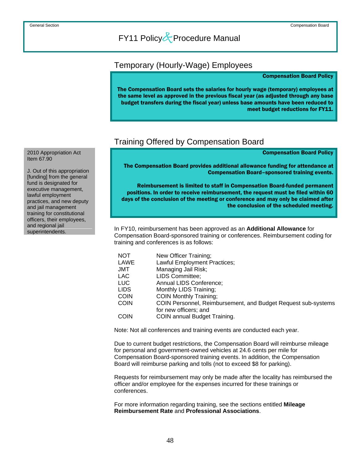### <span id="page-54-0"></span>Temporary (Hourly-Wage) Employees

#### Compensation Board Policy

The Compensation Board sets the salaries for hourly wage (temporary) employees at the same level as approved in the previous fiscal year (as adjusted through any base budget transfers during the fiscal year) unless base amounts have been reduced to meet budget reductions for FY11.

### Training Offered by Compensation Board

#### Compensation Board Policy

The Compensation Board provides additional allowance funding for attendance at Compensation Board–sponsored training events.

Reimbursement is limited to staff in Compensation Board-funded permanent positions. In order to receive reimbursement, the request must be filed within 60 days of the conclusion of the meeting or conference and may only be claimed after the conclusion of the scheduled meeting.

In FY10, reimbursement has been approved as an **Additional Allowance** for Compensation Board-sponsored training or conferences. Reimbursement coding for training and conferences is as follows:

| <b>NOT</b>  | New Officer Training;                                         |
|-------------|---------------------------------------------------------------|
| LAWE        | Lawful Employment Practices;                                  |
| JMT         | Managing Jail Risk;                                           |
| LAC.        | LIDS Committee;                                               |
| LUC.        | Annual LIDS Conference;                                       |
| <b>LIDS</b> | Monthly LIDS Training;                                        |
| <b>COIN</b> | <b>COIN Monthly Training:</b>                                 |
| <b>COIN</b> | COIN Personnel, Reimbursement, and Budget Request sub-systems |
|             | for new officers; and                                         |
| <b>COIN</b> | <b>COIN annual Budget Training.</b>                           |
|             |                                                               |

Note: Not all conferences and training events are conducted each year.

Due to current budget restrictions, the Compensation Board will reimburse mileage for personal and government-owned vehicles at 24.6 cents per mile for Compensation Board-sponsored training events. In addition, the Compensation Board will reimburse parking and tolls (not to exceed \$8 for parking).

Requests for reimbursement may only be made after the locality has reimbursed the officer and/or employee for the expenses incurred for these trainings or conferences.

For more information regarding training, see the sections entitled **Mileage Reimbursement Rate** and **Professional Associations**.

2010 Appropriation Act Item 67.90

J. Out of this appropriation [funding] from the general fund is designated for executive management, lawful employment practices, and new deputy and jail management training for constitutional officers, their employees, and regional jail superintendents.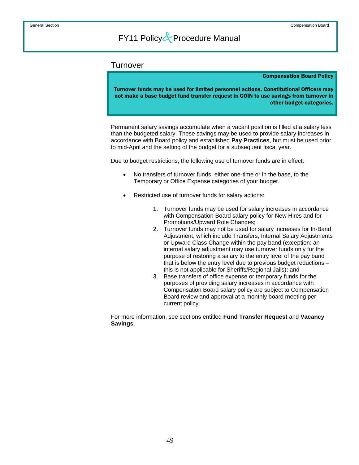### <span id="page-55-0"></span>**Turnover**

#### Compensation Board Policy

Turnover funds may be used for limited personnel actions. Constitutional Officers may not make a base budget fund transfer request in COIN to use savings from turnover in other budget categories.

 Permanent salary savings accumulate when a vacant position is filled at a salary less than the budgeted salary. These savings may be used to provide salary increases in accordance with Board policy and established **Pay Practices**, but must be used prior to mid-April and the setting of the budget for a subsequent fiscal year.

Due to budget restrictions, the following use of turnover funds are in effect:

- No transfers of turnover funds, either one-time or in the base, to the Temporary or Office Expense categories of your budget.
- Restricted use of turnover funds for salary actions:
	- 1. Turnover funds may be used for salary increases in accordance with Compensation Board salary policy for New Hires and for Promotions/Upward Role Changes;
	- 2. Turnover funds may not be used for salary increases for In-Band Adjustment, which include Transfers, Internal Salary Adjustments or Upward Class Change within the pay band (exception: an internal salary adjustment may use turnover funds only for the purpose of restoring a salary to the entry level of the pay band that is below the entry level due to previous budget reductions – this is not applicable for Sheriffs/Regional Jails); and
	- 3. Base transfers of office expense or temporary funds for the purposes of providing salary increases in accordance with Compensation Board salary policy are subject to Compensation Board review and approval at a monthly board meeting per current policy.

For more information, see sections entitled **Fund Transfer Request** and **Vacancy Savings**.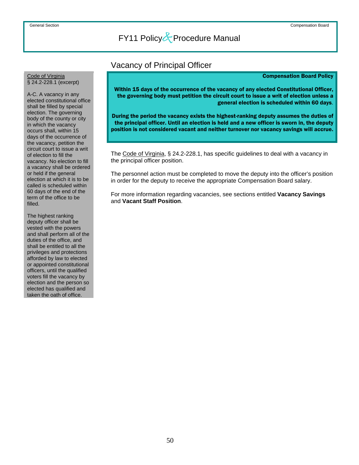### Vacancy of Principal Officer

#### Compensation Board Policy

Within 15 days of the occurrence of the vacancy of any elected Constitutional Officer, the governing body must petition the circuit court to issue a writ of election unless a general election is scheduled within 60 days.

During the period the vacancy exists the highest-ranking deputy assumes the duties of the principal officer. Until an election is held and a new officer is sworn in, the deputy position is not considered vacant and neither turnover nor vacancy savings will accrue.

 The Code of Virginia, § 24.2-228.1, has specific guidelines to deal with a vacancy in the principal officer position.

The personnel action must be completed to move the deputy into the officer's position in order for the deputy to receive the appropriate Compensation Board salary.

For more information regarding vacancies, see sections entitled **Vacancy Savings**  and **Vacant Staff Position**.

## <span id="page-56-0"></span>Code of Virginia<br>§ 24.2-228.1 (excerpt)

A-C. A vacancy in any elected constitutional office shall be filled by special election. The governing body of the county or city in which the vacancy occurs shall, within 15 days of the occurrence of the vacancy, petition the circuit court to issue a writ of election to fill the vacancy. No election to fill a vacancy shall be ordered or held if the general election at which it is to be called is scheduled within 60 days of the end of the term of the office to be filled.

The highest ranking deputy officer shall be vested with the powers and shall perform all of the duties of the office, and shall be entitled to all the privileges and protections afforded by law to elected or appointed constitutional officers, until the qualified voters fill the vacancy by election and the person so elected has qualified and taken the oath of office.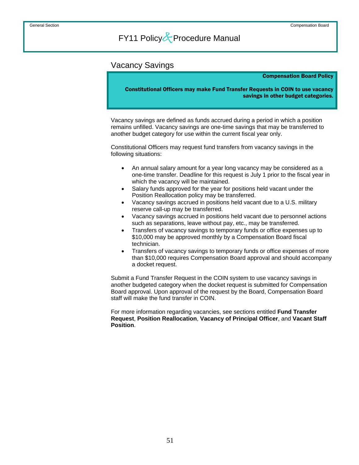### <span id="page-57-0"></span>Vacancy Savings

#### Compensation Board Policy

Constitutional Officers may make Fund Transfer Requests in COIN to use vacancy savings in other budget categories.

 Vacancy savings are defined as funds accrued during a period in which a position remains unfilled. Vacancy savings are one-time savings that may be transferred to another budget category for use within the current fiscal year only.

Constitutional Officers may request fund transfers from vacancy savings in the following situations:

- An annual salary amount for a year long vacancy may be considered as a one-time transfer. Deadline for this request is July 1 prior to the fiscal year in which the vacancy will be maintained.
- Salary funds approved for the year for positions held vacant under the Position Reallocation policy may be transferred.
- Vacancy savings accrued in positions held vacant due to a U.S. military reserve call-up may be transferred.
- Vacancy savings accrued in positions held vacant due to personnel actions such as separations, leave without pay, etc., may be transferred.
- Transfers of vacancy savings to temporary funds or office expenses up to \$10,000 may be approved monthly by a Compensation Board fiscal technician.
- Transfers of vacancy savings to temporary funds or office expenses of more than \$10,000 requires Compensation Board approval and should accompany a docket request.

Submit a Fund Transfer Request in the COIN system to use vacancy savings in another budgeted category when the docket request is submitted for Compensation Board approval. Upon approval of the request by the Board, Compensation Board staff will make the fund transfer in COIN.

For more information regarding vacancies, see sections entitled **Fund Transfer Request**, **Position Reallocation**, **Vacancy of Principal Officer**, and **Vacant Staff Position**.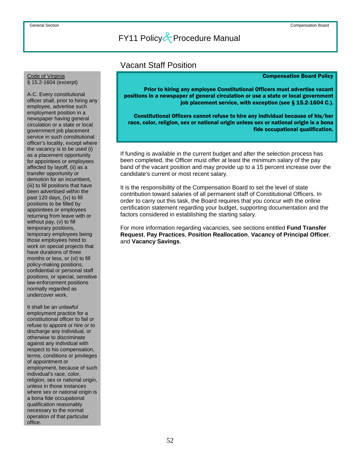### Vacant Staff Position

#### Compensation Board Policy

Prior to hiring any employee Constitutional Officers must advertise vacant positions in a newspaper of general circulation or use a state or local government job placement service, with exception (see § 15.2-1604 C.).

Constitutional Officers cannot refuse to hire any individual because of his/her race, color, religion, sex or national origin unless sex or national origin is a bona fide occupational qualification.

 If funding is available in the current budget and after the selection process has been completed, the Officer must offer at least the minimum salary of the pay band of the vacant position and may provide up to a 15 percent increase over the candidate's current or most recent salary.

It is the responsibility of the Compensation Board to set the level of state contribution toward salaries of all permanent staff of Constitutional Officers. In order to carry out this task, the Board requires that you concur with the online certification statement regarding your budget, supporting documentation and the factors considered in establishing the starting salary.

For more information regarding vacancies, see sections entitled **Fund Transfer Request**, **Pay Practices**, **Position Reallocation**, **Vacancy of Principal Officer**, and **Vacancy Savings**.

## <span id="page-58-0"></span>Code of Virginia<br>§ 15.2-1604 (excerpt)

A-C. Every constitutional officer shall, prior to hiring any employee, advertise such employment position in a newspaper having general circulation or a state or local government job placement service in such constitutional officer's locality, except where the vacancy is to be used (i) as a placement opportunity for appointees or employees affected by layoff, (ii) as a transfer opportunity or demotion for an incumbent, (iii) to fill positions that have been advertised within the past 120 days, (iv) to fill positions to be filled by appointees or employees returning from leave with or without pay, (v) to fill temporary positions, temporary employees being those employees hired to work on special projects that have durations of three months or less, or (vi) to fill policy-making positions, confidential or personal staff positions, or special, sensitive law-enforcement positions normally regarded as undercover work.

It shall be an unlawful employment practice for a constitutional officer to fail or refuse to appoint or hire or to discharge any individual, or otherwise to discriminate against any individual with respect to his compensation, terms, conditions or privileges of appointment or employment, because of such individual's race, color, religion, sex or national origin. unless in those instances where sex or national origin is a bona fide occupational qualification reasonably necessary to the normal operation of that particular office.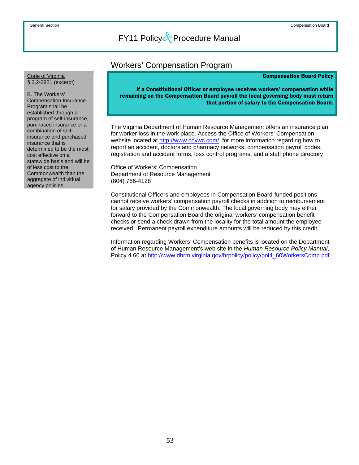### Workers' Compensation Program

#### Compensation Board Policy

<span id="page-59-0"></span>Code of Virginia<br>§ 2.2-2821 (excerpt)

B. The Workers' Compensation Insurance Program shall be established through a program of self-insurance, purchased insurance or a combination of selfinsurance and purchased insurance that is determined to be the most cost effective on a statewide basis and will be of less cost to the Commonwealth than the aggregate of individual agency policies.

If a Constitutional Officer or employee receives workers' compensation while remaining on the Compensation Board payroll the local governing body must return that portion of salary to the Compensation Board.

The Virginia Department of Human Resource Management offers an insurance plan for worker loss in the work place. Access the Office of Workers' Compensation website located at <http://www.covwc.com/>for more information regarding how to report an accident, doctors and pharmacy networks, compensation payroll codes, registration and accident forms, loss control programs, and a staff phone directory

Office of Workers' Compensation Department of Resource Management (804) 786-4128

Constitutional Officers and employees in Compensation Board-funded positions cannot receive workers' compensation payroll checks in addition to reimbursement for salary provided by the Commonwealth. The local governing body may either forward to the Compensation Board the original workers' compensation benefit checks or send a check drawn from the locality for the total amount the employee received. Permanent payroll expenditure amounts will be reduced by this credit.

Information regarding Workers' Compensation benefits is located on the Department of Human Resource Management's web site in the *Human Resource Policy Manual*, Policy 4.60 at [http://www.dhrm.virginia.gov/hrpolicy/policy/pol4\\_60WorkersComp.pdf](http://www.dhrm.virginia.gov/hrpolicy/policy/pol4_60WorkersComp.pdf).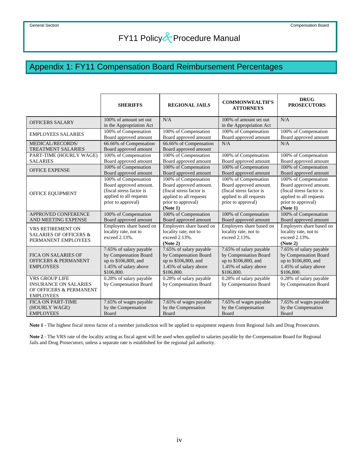## <span id="page-60-0"></span>Appendix 1: FY11 Compensation Board Reimbursement Percentages

|                                                                                               | <b>SHERIFFS</b>                                                                                                             | <b>REGIONAL JAILS</b>                                                                                                                   | <b>COMMONWEALTH'S</b><br><b>ATTORNEYS</b>                                                                                   | <b>DRUG</b><br><b>PROSECUTORS</b>                                                                                                       |
|-----------------------------------------------------------------------------------------------|-----------------------------------------------------------------------------------------------------------------------------|-----------------------------------------------------------------------------------------------------------------------------------------|-----------------------------------------------------------------------------------------------------------------------------|-----------------------------------------------------------------------------------------------------------------------------------------|
| OFFICERS SALARY                                                                               | 100% of amount set out<br>in the Appropriation Act                                                                          | N/A                                                                                                                                     | 100% of amount set out<br>in the Appropriation Act                                                                          | N/A                                                                                                                                     |
| <b>EMPLOYEES SALARIES</b>                                                                     | 100% of Compensation<br>Board approved amount                                                                               | 100% of Compensation<br>Board approved amount                                                                                           | 100% of Compensation<br>Board approved amount                                                                               | 100% of Compensation<br>Board approved amount                                                                                           |
| MEDICAL/RECORDS/<br><b>TREATMENT SALARIES</b>                                                 | 66.66% of Compensation<br>Board approved amount                                                                             | 66.66% of Compensation<br>Board approved amount                                                                                         | N/A                                                                                                                         | N/A                                                                                                                                     |
| PART-TIME (HOURLY WAGE)<br><b>SALARIES</b>                                                    | 100% of Compensation<br>Board approved amount                                                                               | 100% of Compensation<br>Board approved amount                                                                                           | 100% of Compensation<br>Board approved amount                                                                               | 100% of Compensation<br>Board approved amount                                                                                           |
| <b>OFFICE EXPENSE</b>                                                                         | 100% of Compensation<br>Board approved amount                                                                               | 100% of Compensation<br>Board approved amount                                                                                           | 100% of Compensation<br>Board approved amount                                                                               | 100% of Compensation<br>Board approved amount                                                                                           |
| OFFICE EQUIPMENT                                                                              | 100% of Compensation<br>Board approved amount.<br>(fiscal stress factor is<br>applied to all requests<br>prior to approval) | 100% of Compensation<br>Board approved amount.<br>(fiscal stress factor is<br>applied to all requests<br>prior to approval)<br>(Note 1) | 100% of Compensation<br>Board approved amount.<br>(fiscal stress factor is<br>applied to all requests<br>prior to approval) | 100% of Compensation<br>Board approved amount.<br>(fiscal stress factor is<br>applied to all requests<br>prior to approval)<br>(Note 1) |
| APPROVED CONFERENCE<br>AND MEETING EXPENSE                                                    | 100% of Compensation<br>Board approved amount                                                                               | 100% of Compensation<br>Board approved amount                                                                                           | 100% of Compensation<br>Board approved amount                                                                               | 100% of Compensation<br>Board approved amount                                                                                           |
| VRS RETIREMENT ON<br><b>SALARIES OF OFFICERS &amp;</b><br>PERMANENT EMPLOYEES                 | Employers share based on<br>locality rate, not to<br>exceed 2.13%.                                                          | Employers share based on<br>locality rate, not to<br>exceed 2.13%.<br>(Note 2)                                                          | Employers share based on<br>locality rate, not to<br>exceed 2.13%.                                                          | Employers share based on<br>locality rate, not to<br>exceed 2.13%.<br>(Note 2)                                                          |
| <b>FICA ON SALARIES OF</b><br><b>OFFICERS &amp; PERMANENT</b><br><b>EMPLOYEES</b>             | 7.65% of salary payable<br>by Compensation Board<br>up to \$106,800, and<br>1.45% of salary above<br>\$106,800.             | 7.65% of salary payable<br>by Compensation Board<br>up to \$106,800, and<br>1.45% of salary above<br>\$106,800.                         | 7.65% of salary payable<br>by Compensation Board<br>up to \$106,800, and<br>1.45% of salary above<br>\$106,800.             | 7.65% of salary payable<br>by Compensation Board<br>up to \$106,800, and<br>1.45% of salary above<br>\$106,800.                         |
| VRS GROUP LIFE<br><b>INSURANCE ON SALARIES</b><br>OF OFFICERS & PERMANENT<br><b>EMPLOYEES</b> | 0.28% of salary payable<br>by Compensation Board                                                                            | 0.28% of salary payable<br>by Compensation Board                                                                                        | 0.28% of salary payable<br>by Compensation Board                                                                            | 0.28% of salary payable<br>by Compensation Board                                                                                        |
| <b>FICA ON PART-TIME</b><br>(HOURLY WAGE)<br><b>EMPLOYEES</b>                                 | 7.65% of wages payable<br>by the Compensation<br>Board                                                                      | 7.65% of wages payable<br>by the Compensation<br>Board                                                                                  | 7.65% of wages payable<br>by the Compensation<br>Board                                                                      | 7.65% of wages payable<br>by the Compensation<br>Board                                                                                  |

**Note 1** - The highest fiscal stress factor of a member jurisdiction will be applied to equipment requests from Regional Jails and Drug Prosecutors.

**Note 2** - The VRS rate of the locality acting as fiscal agent will be used when applied to salaries payable by the Compensation Board for Regional Jails and Drug Prosecutors, unless a separate rate is established for the regional jail authority.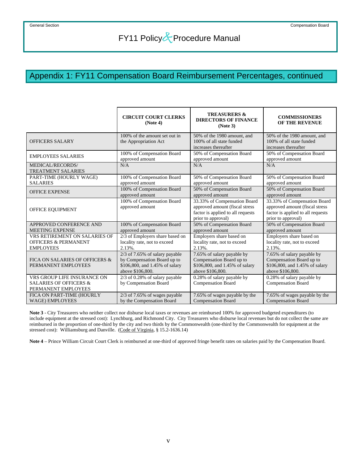## Appendix 1: FY11 Compensation Board Reimbursement Percentages, continued

|                                                                                         | <b>CIRCUIT COURT CLERKS</b><br>(Note 4)                                                                             | <b>TREASURERS &amp;</b><br><b>DIRECTORS OF FINANCE</b><br>(Note 3)                                                        | <b>COMMISSIONERS</b><br>OF THE REVENUE                                                                                    |
|-----------------------------------------------------------------------------------------|---------------------------------------------------------------------------------------------------------------------|---------------------------------------------------------------------------------------------------------------------------|---------------------------------------------------------------------------------------------------------------------------|
| OFFICERS SALARY                                                                         | 100% of the amount set out in<br>the Appropriation Act                                                              | 50% of the 1980 amount, and<br>100% of all state funded<br>increases thereafter                                           | 50% of the 1980 amount, and<br>100% of all state funded<br>increases thereafter                                           |
| <b>EMPLOYEES SALARIES</b>                                                               | 100% of Compensation Board                                                                                          | 50% of Compensation Board                                                                                                 | 50% of Compensation Board                                                                                                 |
|                                                                                         | approved amount                                                                                                     | approved amount                                                                                                           | approved amount                                                                                                           |
| MEDICAL/RECORDS/<br><b>TREATMENT SALARIES</b>                                           | N/A                                                                                                                 | N/A                                                                                                                       | N/A                                                                                                                       |
| PART-TIME (HOURLY WAGE)                                                                 | 100% of Compensation Board                                                                                          | 50% of Compensation Board                                                                                                 | 50% of Compensation Board                                                                                                 |
| <b>SALARIES</b>                                                                         | approved amount                                                                                                     | approved amount                                                                                                           | approved amount                                                                                                           |
| <b>OFFICE EXPENSE</b>                                                                   | 100% of Compensation Board                                                                                          | 50% of Compensation Board                                                                                                 | 50% of Compensation Board                                                                                                 |
|                                                                                         | approved amount                                                                                                     | approved amount                                                                                                           | approved amount                                                                                                           |
| OFFICE EQUIPMENT                                                                        | 100% of Compensation Board<br>approved amount                                                                       | 33.33% of Compensation Board<br>approved amount (fiscal stress<br>factor is applied to all requests<br>prior to approval) | 33.33% of Compensation Board<br>approved amount (fiscal stress<br>factor is applied to all requests<br>prior to approval) |
| APPROVED CONFERENCE AND                                                                 | 100% of Compensation Board                                                                                          | 50% of Compensation Board                                                                                                 | 50% of Compensation Board                                                                                                 |
| <b>MEETING EXPENSE</b>                                                                  | approved amount                                                                                                     | approved amount                                                                                                           | approved amount                                                                                                           |
| VRS RETIREMENT ON SALARIES OF                                                           | 2/3 of Employers share based on                                                                                     | Employers share based on                                                                                                  | Employers share based on                                                                                                  |
| <b>OFFICERS &amp; PERMANENT</b>                                                         | locality rate, not to exceed                                                                                        | locality rate, not to exceed                                                                                              | locality rate, not to exceed                                                                                              |
| <b>EMPLOYEES</b>                                                                        | 2.13%.                                                                                                              | 2.13%.                                                                                                                    | $2.13\%$ .                                                                                                                |
| FICA ON SALARIES OF OFFICERS &<br>PERMANENT EMPLOYEES                                   | 2/3 of 7.65% of salary payable<br>by Compensation Board up to<br>\$106,800, and 1.45% of salary<br>above \$106,800. | 7.65% of salary payable by<br>Compensation Board up to<br>\$106,800, and 1.45% of salary<br>above \$106,800.              | 7.65% of salary payable by<br>Compensation Board up to<br>\$106,800, and 1.45% of salary<br>above \$106,800.              |
| VRS GROUP LIFE INSURANCE ON<br><b>SALARIES OF OFFICERS &amp;</b><br>PERMANENT EMPLOYEES | $2/3$ of 0.28% of salary payable<br>by Compensation Board                                                           | 0.28% of salary payable by<br>Compensation Board                                                                          | 0.28% of salary payable by<br>Compensation Board                                                                          |
| FICA ON PART-TIME (HOURLY                                                               | $2/3$ of 7.65% of wages payable                                                                                     | 7.65% of wages payable by the                                                                                             | 7.65% of wages payable by the                                                                                             |
| <b>WAGE) EMPLOYEES</b>                                                                  | by the Compensation Board                                                                                           | <b>Compensation Board</b>                                                                                                 | <b>Compensation Board</b>                                                                                                 |

**Note 3** - City Treasurers who neither collect nor disburse local taxes or revenues are reimbursed 100% for approved budgeted expenditures (to include equipment at the stressed cost): Lynchburg, and Richmond City. City Treasurers who disburse local revenues but do not collect the same are reimbursed in the proportion of one-third by the city and two thirds by the Commonwealth (one-third by the Commonwealth for equipment at the stressed cost): Williamsburg and Danville. (Code of Virginia, § 15.2-1636.14)

**Note 4** – Prince William Circuit Court Clerk is reimbursed at one-third of approved fringe benefit rates on salaries paid by the Compensation Board.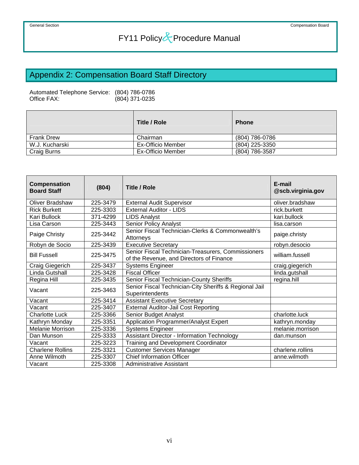## <span id="page-62-0"></span>Appendix 2: Compensation Board Staff Directory

Automated Telephone Service: (804) 786-0786  $(804)$  371-0235

|                   | Title / Role             | <b>Phone</b>   |
|-------------------|--------------------------|----------------|
| <b>Frank Drew</b> | Chairman                 | (804) 786-0786 |
| W.J. Kucharski    | <b>Ex-Officio Member</b> | (804) 225-3350 |
| Craig Burns       | <b>Ex-Officio Member</b> | (804) 786-3587 |

| Compensation<br><b>Board Staff</b> | (804)    | <b>Title / Role</b>                                                                            | E-mail<br>@scb.virginia.gov |
|------------------------------------|----------|------------------------------------------------------------------------------------------------|-----------------------------|
| Oliver Bradshaw                    | 225-3479 | <b>External Audit Supervisor</b>                                                               | oliver.bradshaw             |
| <b>Rick Burkett</b>                | 225-3303 | <b>External Auditor - LIDS</b>                                                                 | rick.burkett                |
| Kari Bullock                       | 371-4299 | <b>LIDS Analyst</b>                                                                            | kari.bullock                |
| Lisa Carson                        | 225-3443 | Senior Policy Analyst                                                                          | lisa.carson                 |
| Paige Christy                      | 225-3442 | Senior Fiscal Technician-Clerks & Commonwealth's<br>Attorneys                                  | paige.christy               |
| Robyn de Socio                     | 225-3439 | <b>Executive Secretary</b>                                                                     | robyn.desocio               |
| <b>Bill Fussell</b>                | 225-3475 | Senior Fiscal Technician-Treasurers, Commissioners<br>of the Revenue, and Directors of Finance | william.fussell             |
| Craig Giegerich                    | 225-3437 | <b>Systems Engineer</b>                                                                        | craig.giegerich             |
| Linda Gutshall                     | 225-3428 | <b>Fiscal Officer</b>                                                                          | linda.gutshall              |
| Regina Hill                        | 225-3435 | Senior Fiscal Technician-County Sheriffs                                                       | regina.hill                 |
| Vacant                             | 225-3463 | Senior Fiscal Technician-City Sheriffs & Regional Jail<br>Superintendents                      |                             |
| Vacant                             | 225-3414 | <b>Assistant Executive Secretary</b>                                                           |                             |
| Vacant                             | 225-3407 | <b>External Auditor-Jail Cost Reporting</b>                                                    |                             |
| <b>Charlotte Luck</b>              | 225-3366 | Senior Budget Analyst                                                                          | charlotte.luck              |
| Kathryn Monday                     | 225-3351 | Application Programmer/Analyst Expert                                                          | kathryn.monday              |
| Melanie Morrison                   | 225-3336 | <b>Systems Engineer</b>                                                                        | melanie.morrison            |
| Dan Munson                         | 225-3333 | <b>Assistant Director - Information Technology</b>                                             | dan.munson                  |
| Vacant                             | 225-3223 | Training and Development Coordinator                                                           |                             |
| <b>Charlene Rollins</b>            | 225-3321 | <b>Customer Services Manager</b>                                                               | charlene.rollins            |
| Anne Wilmoth                       | 225-3307 | <b>Chief Information Officer</b>                                                               | anne.wilmoth                |
| Vacant                             | 225-3308 | <b>Administrative Assistant</b>                                                                |                             |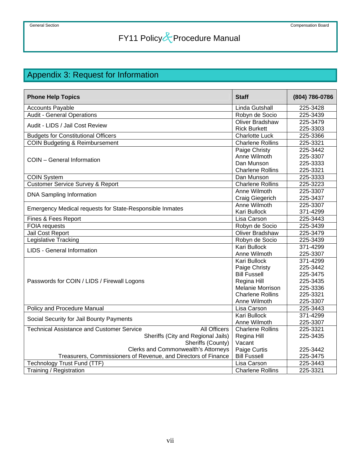## <span id="page-63-0"></span>Appendix 3: Request for Information

| <b>Phone Help Topics</b>                                                | <b>Staff</b>            | (804) 786-0786 |
|-------------------------------------------------------------------------|-------------------------|----------------|
| <b>Accounts Payable</b>                                                 | Linda Gutshall          | 225-3428       |
| <b>Audit - General Operations</b>                                       | Robyn de Socio          | 225-3439       |
|                                                                         | <b>Oliver Bradshaw</b>  | 225-3479       |
| Audit - LIDS / Jail Cost Review                                         | <b>Rick Burkett</b>     | 225-3303       |
| <b>Budgets for Constitutional Officers</b>                              | <b>Charlotte Luck</b>   | 225-3366       |
| <b>COIN Budgeting &amp; Reimbursement</b>                               | <b>Charlene Rollins</b> | 225-3321       |
|                                                                         | Paige Christy           | 225-3442       |
| COIN - General Information                                              | Anne Wilmoth            | 225-3307       |
|                                                                         | Dan Munson              | 225-3333       |
|                                                                         | <b>Charlene Rollins</b> | 225-3321       |
| <b>COIN System</b>                                                      | Dan Munson              | 225-3333       |
| <b>Customer Service Survey &amp; Report</b>                             | <b>Charlene Rollins</b> | 225-3223       |
| <b>DNA Sampling Information</b>                                         | Anne Wilmoth            | 225-3307       |
|                                                                         | Craig Giegerich         | 225-3437       |
| Emergency Medical requests for State-Responsible Inmates                | Anne Wilmoth            | 225-3307       |
|                                                                         | Kari Bullock            | 371-4299       |
| Fines & Fees Report                                                     | Lisa Carson             | 225-3443       |
| <b>FOIA</b> requests                                                    | Robyn de Socio          | 225-3439       |
| Jail Cost Report                                                        | <b>Oliver Bradshaw</b>  | 225-3479       |
| <b>Legislative Tracking</b>                                             | Robyn de Socio          | 225-3439       |
| <b>LIDS</b> - General Information                                       | <b>Kari Bullock</b>     | 371-4299       |
|                                                                         | Anne Wilmoth            | 225-3307       |
|                                                                         | Kari Bullock            | 371-4299       |
|                                                                         | Paige Christy           | 225-3442       |
|                                                                         | <b>Bill Fussell</b>     | 225-3475       |
| Passwords for COIN / LIDS / Firewall Logons                             | Regina Hill             | 225-3435       |
|                                                                         | Melanie Morrison        | 225-3336       |
|                                                                         | <b>Charlene Rollins</b> | 225-3321       |
|                                                                         | Anne Wilmoth            | 225-3307       |
| <b>Policy and Procedure Manual</b>                                      | Lisa Carson             | 225-3443       |
| Social Security for Jail Bounty Payments                                | Kari Bullock            | 371-4299       |
|                                                                         | Anne Wilmoth            | 225-3307       |
| <b>Technical Assistance and Customer Service</b><br><b>All Officers</b> | <b>Charlene Rollins</b> | 225-3321       |
| Sheriffs (City and Regional Jails)                                      | Regina Hill             | 225-3435       |
| Sheriffs (County)                                                       | Vacant                  |                |
| <b>Clerks and Commonwealth's Attorneys</b>                              | Paige Curtis            | 225-3442       |
| Treasurers, Commissioners of Revenue, and Directors of Finance          | <b>Bill Fussell</b>     | 225-3475       |
| <b>Technology Trust Fund (TTF)</b>                                      | Lisa Carson             | 225-3443       |
| Training / Registration                                                 | <b>Charlene Rollins</b> | 225-3321       |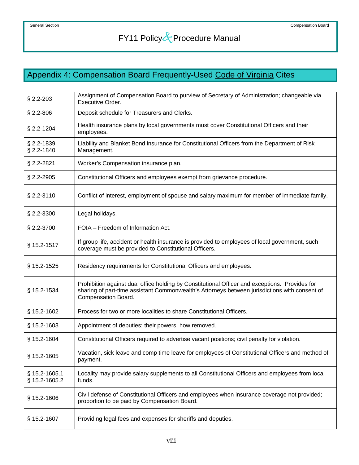## <span id="page-64-0"></span>Appendix 4: Compensation Board Frequently-Used Code of Virginia Cites

| $$2.2 - 203$                   | Assignment of Compensation Board to purview of Secretary of Administration; changeable via<br>Executive Order.                                                                                                         |
|--------------------------------|------------------------------------------------------------------------------------------------------------------------------------------------------------------------------------------------------------------------|
| $$2.2 - 806$                   | Deposit schedule for Treasurers and Clerks.                                                                                                                                                                            |
| § 2.2-1204                     | Health insurance plans by local governments must cover Constitutional Officers and their<br>employees.                                                                                                                 |
| § 2.2-1839<br>§ 2.2-1840       | Liability and Blanket Bond insurance for Constitutional Officers from the Department of Risk<br>Management.                                                                                                            |
| § 2.2-2821                     | Worker's Compensation insurance plan.                                                                                                                                                                                  |
| $§$ 2.2-2905                   | Constitutional Officers and employees exempt from grievance procedure.                                                                                                                                                 |
| § 2.2-3110                     | Conflict of interest, employment of spouse and salary maximum for member of immediate family.                                                                                                                          |
| $§$ 2.2-3300                   | Legal holidays.                                                                                                                                                                                                        |
| § 2.2-3700                     | FOIA - Freedom of Information Act.                                                                                                                                                                                     |
| § 15.2-1517                    | If group life, accident or health insurance is provided to employees of local government, such<br>coverage must be provided to Constitutional Officers.                                                                |
| § 15.2-1525                    | Residency requirements for Constitutional Officers and employees.                                                                                                                                                      |
| § 15.2-1534                    | Prohibition against dual office holding by Constitutional Officer and exceptions. Provides for<br>sharing of part-time assistant Commonwealth's Attorneys between jurisdictions with consent of<br>Compensation Board. |
| § 15.2-1602                    | Process for two or more localities to share Constitutional Officers.                                                                                                                                                   |
| § 15.2-1603                    | Appointment of deputies; their powers; how removed.                                                                                                                                                                    |
| § 15.2-1604                    | Constitutional Officers required to advertise vacant positions; civil penalty for violation.                                                                                                                           |
| § 15.2-1605                    | Vacation, sick leave and comp time leave for employees of Constitutional Officers and method of<br>payment.                                                                                                            |
| § 15.2-1605.1<br>§ 15.2-1605.2 | Locality may provide salary supplements to all Constitutional Officers and employees from local<br>funds.                                                                                                              |
| § 15.2-1606                    | Civil defense of Constitutional Officers and employees when insurance coverage not provided;<br>proportion to be paid by Compensation Board.                                                                           |
| § 15.2-1607                    | Providing legal fees and expenses for sheriffs and deputies.                                                                                                                                                           |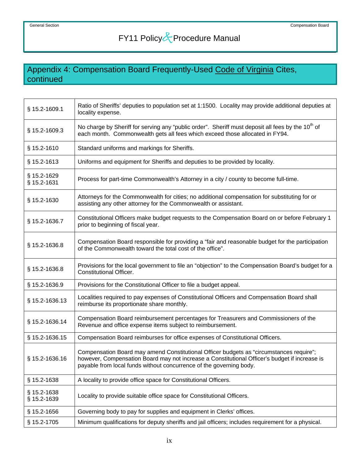### Appendix 4: Compensation Board Frequently-Used Code of Virginia Cites, continued

| § 15.2-1609.1              | Ratio of Sheriffs' deputies to population set at 1:1500. Locality may provide additional deputies at<br>locality expense.                                                                                                                                       |
|----------------------------|-----------------------------------------------------------------------------------------------------------------------------------------------------------------------------------------------------------------------------------------------------------------|
| § 15.2-1609.3              | No charge by Sheriff for serving any "public order". Sheriff must deposit all fees by the 10 <sup>th</sup> of<br>each month. Commonwealth gets all fees which exceed those allocated in FY94.                                                                   |
| § 15.2-1610                | Standard uniforms and markings for Sheriffs.                                                                                                                                                                                                                    |
| § 15.2-1613                | Uniforms and equipment for Sheriffs and deputies to be provided by locality.                                                                                                                                                                                    |
| § 15.2-1629<br>§ 15.2-1631 | Process for part-time Commonwealth's Attorney in a city / county to become full-time.                                                                                                                                                                           |
| § 15.2-1630                | Attorneys for the Commonwealth for cities; no additional compensation for substituting for or<br>assisting any other attorney for the Commonwealth or assistant.                                                                                                |
| § 15.2-1636.7              | Constitutional Officers make budget requests to the Compensation Board on or before February 1<br>prior to beginning of fiscal year.                                                                                                                            |
| § 15.2-1636.8              | Compensation Board responsible for providing a "fair and reasonable budget for the participation<br>of the Commonwealth toward the total cost of the office".                                                                                                   |
| § 15.2-1636.8              | Provisions for the local government to file an "objection" to the Compensation Board's budget for a<br>Constitutional Officer.                                                                                                                                  |
| § 15.2-1636.9              | Provisions for the Constitutional Officer to file a budget appeal.                                                                                                                                                                                              |
| § 15.2-1636.13             | Localities required to pay expenses of Constitutional Officers and Compensation Board shall<br>reimburse its proportionate share monthly.                                                                                                                       |
| § 15.2-1636.14             | Compensation Board reimbursement percentages for Treasurers and Commissioners of the<br>Revenue and office expense items subject to reimbursement.                                                                                                              |
| § 15.2-1636.15             | Compensation Board reimburses for office expenses of Constitutional Officers.                                                                                                                                                                                   |
| § 15.2-1636.16             | Compensation Board may amend Constitutional Officer budgets as "circumstances require";<br>however, Compensation Board may not increase a Constitutional Officer's budget if increase is<br>payable from local funds without concurrence of the governing body. |
| § 15.2-1638                | A locality to provide office space for Constitutional Officers.                                                                                                                                                                                                 |
| § 15.2-1638<br>§ 15.2-1639 | Locality to provide suitable office space for Constitutional Officers.                                                                                                                                                                                          |
| § 15.2-1656                | Governing body to pay for supplies and equipment in Clerks' offices.                                                                                                                                                                                            |
| § 15.2-1705                | Minimum qualifications for deputy sheriffs and jail officers; includes requirement for a physical.                                                                                                                                                              |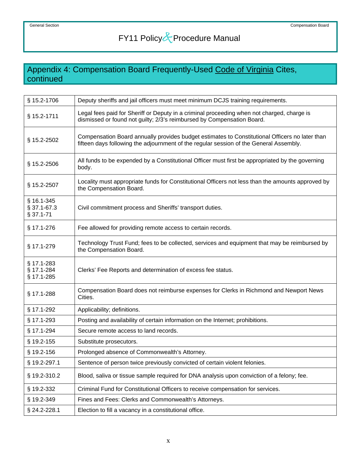## Appendix 4: Compensation Board Frequently-Used Code of Virginia Cites, continued

| § 15.2-1706                            | Deputy sheriffs and jail officers must meet minimum DCJS training requirements.                                                                                                          |
|----------------------------------------|------------------------------------------------------------------------------------------------------------------------------------------------------------------------------------------|
| § 15.2-1711                            | Legal fees paid for Sheriff or Deputy in a criminal proceeding when not charged, charge is<br>dismissed or found not guilty; 2/3's reimbursed by Compensation Board.                     |
| § 15.2-2502                            | Compensation Board annually provides budget estimates to Constitutional Officers no later than<br>fifteen days following the adjournment of the regular session of the General Assembly. |
| $§$ 15.2-2506                          | All funds to be expended by a Constitutional Officer must first be appropriated by the governing<br>body.                                                                                |
| § 15.2-2507                            | Locality must appropriate funds for Constitutional Officers not less than the amounts approved by<br>the Compensation Board.                                                             |
| § 16.1-345<br>§ 37.1-67.3<br>§ 37.1-71 | Civil commitment process and Sheriffs' transport duties.                                                                                                                                 |
| § 17.1-276                             | Fee allowed for providing remote access to certain records.                                                                                                                              |
| § 17.1-279                             | Technology Trust Fund; fees to be collected, services and equipment that may be reimbursed by<br>the Compensation Board.                                                                 |
| § 17.1-283<br>§ 17.1-284<br>§ 17.1-285 | Clerks' Fee Reports and determination of excess fee status.                                                                                                                              |
| § 17.1-288                             | Compensation Board does not reimburse expenses for Clerks in Richmond and Newport News<br>Cities.                                                                                        |
| § 17.1-292                             | Applicability; definitions.                                                                                                                                                              |
| § 17.1-293                             | Posting and availability of certain information on the Internet; prohibitions.                                                                                                           |
| § 17.1-294                             | Secure remote access to land records.                                                                                                                                                    |
| § 19.2-155                             | Substitute prosecutors.                                                                                                                                                                  |
| § 19.2-156                             | Prolonged absence of Commonwealth's Attorney.                                                                                                                                            |
| § 19.2-297.1                           | Sentence of person twice previously convicted of certain violent felonies.                                                                                                               |
| § 19.2-310.2                           | Blood, saliva or tissue sample required for DNA analysis upon conviction of a felony; fee.                                                                                               |
| § 19.2-332                             | Criminal Fund for Constitutional Officers to receive compensation for services.                                                                                                          |
| § 19.2-349                             | Fines and Fees: Clerks and Commonwealth's Attorneys.                                                                                                                                     |
| § 24.2-228.1                           | Election to fill a vacancy in a constitutional office.                                                                                                                                   |